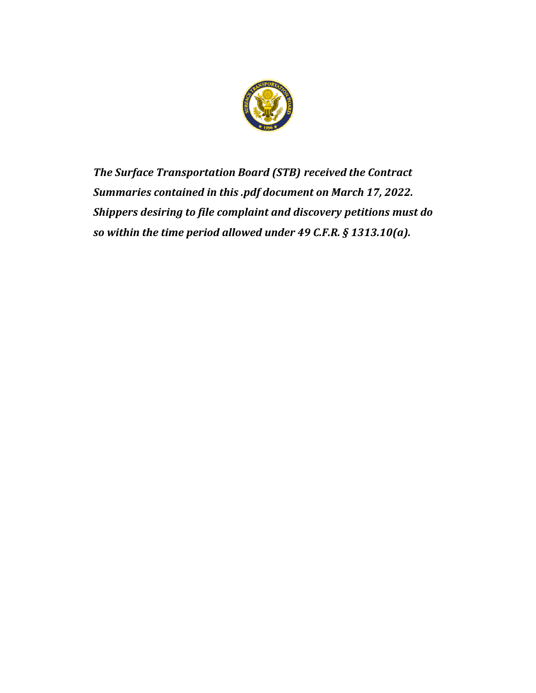

*The Surface Transportation Board (STB) received the Contract Summaries contained in this .pdf document on March 17, 2022. Shippers desiring to file complaint and discovery petitions must do so within the time period allowed under 49 C.F.R. § 1313.10(a).*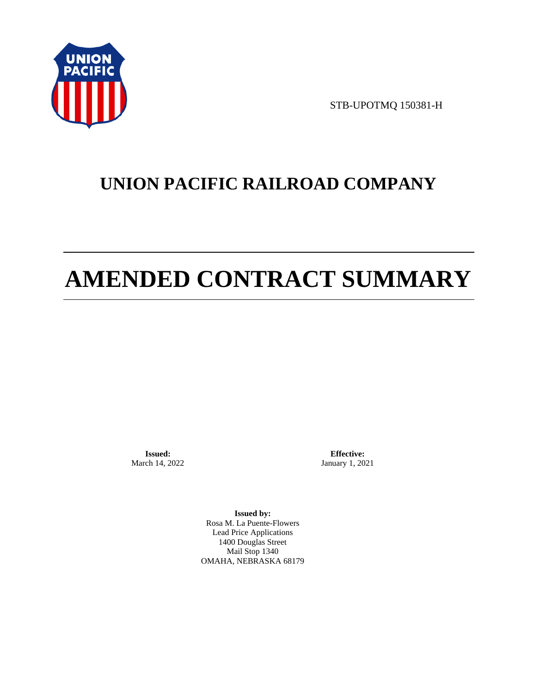

STB-UPOTMQ 150381-H

# **UNION PACIFIC RAILROAD COMPANY**

# **AMENDED CONTRACT SUMMARY**

**Issued:**  March 14, 2022

**Effective:** January 1, 2021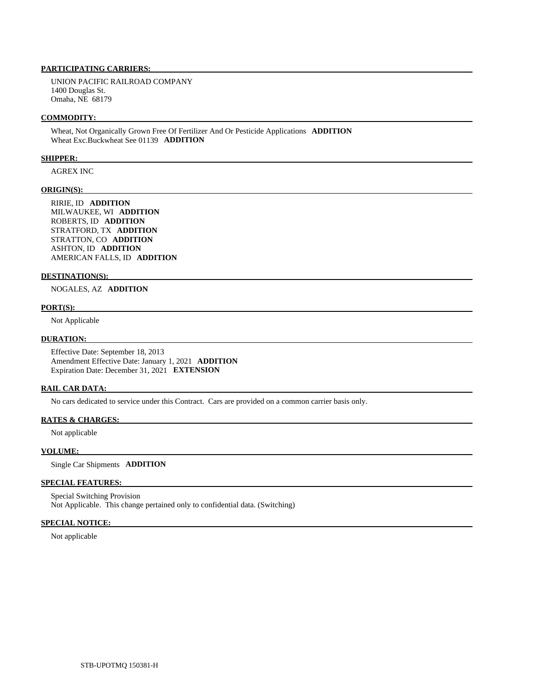UNION PACIFIC RAILROAD COMPANY 1400 Douglas St. Omaha, NE 68179

#### **COMMODITY:**

 Wheat, Not Organically Grown Free Of Fertilizer And Or Pesticide Applications **ADDITION**  Wheat Exc.Buckwheat See 01139 **ADDITION** 

#### **SHIPPER:**

AGREX INC

#### **ORIGIN(S):**

 RIRIE, ID **ADDITION**  MILWAUKEE, WI **ADDITION**  ROBERTS, ID **ADDITION**  STRATFORD, TX **ADDITION**  STRATTON, CO **ADDITION**  ASHTON, ID **ADDITION**  AMERICAN FALLS, ID **ADDITION** 

## **DESTINATION(S):**

NOGALES, AZ **ADDITION** 

#### **PORT(S):**

Not Applicable

#### **DURATION:**

 Effective Date: September 18, 2013 Amendment Effective Date: January 1, 2021 **ADDITION**  Expiration Date: December 31, 2021 **EXTENSION** 

#### **RAIL CAR DATA:**

No cars dedicated to service under this Contract. Cars are provided on a common carrier basis only.

## **RATES & CHARGES:**

Not applicable

# **VOLUME:**

Single Car Shipments **ADDITION** 

# **SPECIAL FEATURES:**

 Special Switching Provision Not Applicable. This change pertained only to confidential data. (Switching)

#### **SPECIAL NOTICE:**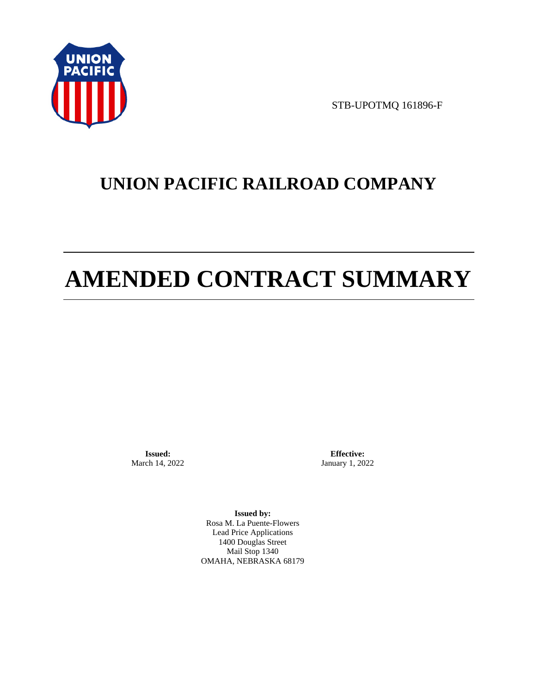

STB-UPOTMQ 161896-F

# **UNION PACIFIC RAILROAD COMPANY**

# **AMENDED CONTRACT SUMMARY**

**Issued:**  March 14, 2022

**Effective:** January 1, 2022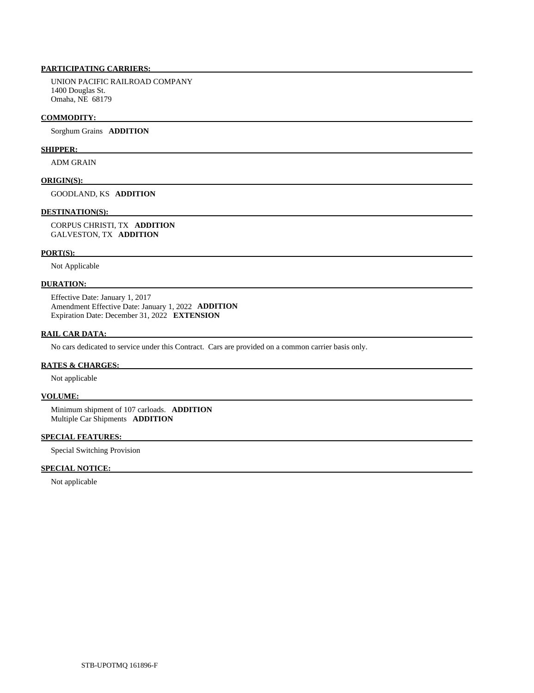UNION PACIFIC RAILROAD COMPANY 1400 Douglas St. Omaha, NE 68179

#### **COMMODITY:**

Sorghum Grains **ADDITION** 

# **SHIPPER:**

ADM GRAIN

### **ORIGIN(S):**

GOODLAND, KS **ADDITION** 

# **DESTINATION(S):**

 CORPUS CHRISTI, TX **ADDITION**  GALVESTON, TX **ADDITION** 

# **PORT(S):**

Not Applicable

# **DURATION:**

 Effective Date: January 1, 2017 Amendment Effective Date: January 1, 2022 **ADDITION**  Expiration Date: December 31, 2022 **EXTENSION** 

# **RAIL CAR DATA:**

No cars dedicated to service under this Contract. Cars are provided on a common carrier basis only.

# **RATES & CHARGES:**

Not applicable

# **VOLUME:**

 Minimum shipment of 107 carloads. **ADDITION**  Multiple Car Shipments **ADDITION** 

# **SPECIAL FEATURES:**

Special Switching Provision

# **SPECIAL NOTICE:**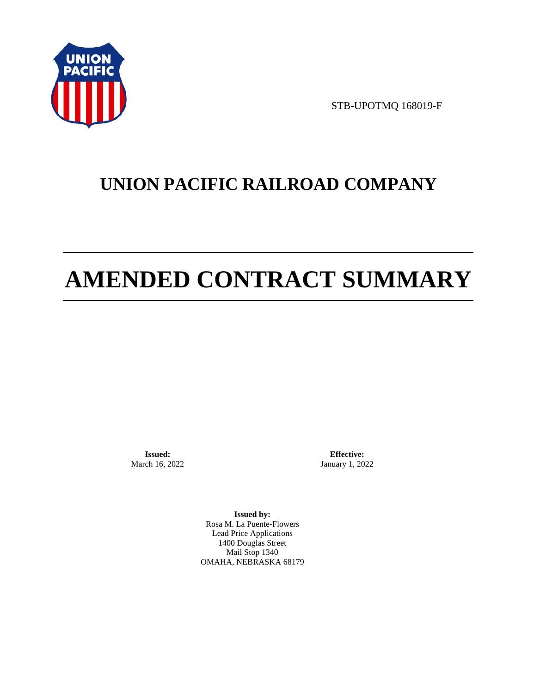

STB-UPOTMQ 168019-F

# **UNION PACIFIC RAILROAD COMPANY**

# **AMENDED CONTRACT SUMMARY**

**Issued:**  March 16, 2022

**Effective:** January 1, 2022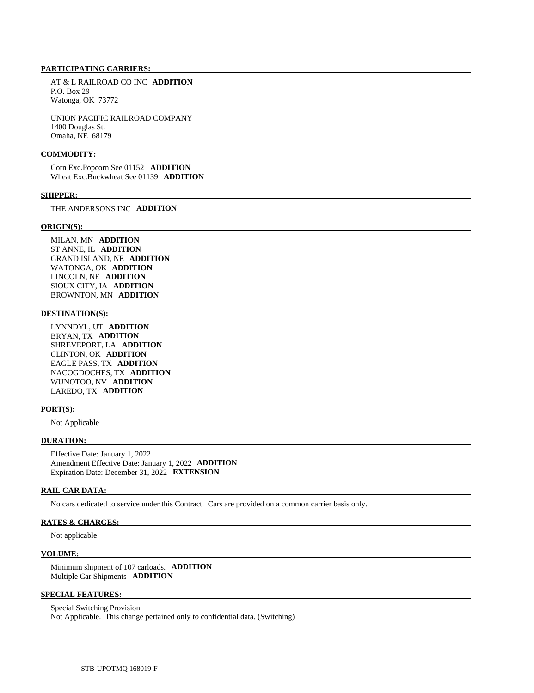AT & L RAILROAD CO INC **ADDITION**  P.O. Box 29 Watonga, OK 73772

 UNION PACIFIC RAILROAD COMPANY 1400 Douglas St. Omaha, NE 68179

#### **COMMODITY:**

 Corn Exc.Popcorn See 01152 **ADDITION**  Wheat Exc.Buckwheat See 01139 **ADDITION** 

#### **SHIPPER:**

THE ANDERSONS INC **ADDITION** 

#### **ORIGIN(S):**

 MILAN, MN **ADDITION**  ST ANNE, IL **ADDITION**  GRAND ISLAND, NE **ADDITION**  WATONGA, OK **ADDITION**  LINCOLN, NE **ADDITION**  SIOUX CITY, IA **ADDITION**  BROWNTON, MN **ADDITION** 

#### **DESTINATION(S):**

 LYNNDYL, UT **ADDITION**  BRYAN, TX **ADDITION**  SHREVEPORT, LA **ADDITION**  CLINTON, OK **ADDITION**  EAGLE PASS, TX **ADDITION**  NACOGDOCHES, TX **ADDITION**  WUNOTOO, NV **ADDITION**  LAREDO, TX **ADDITION** 

#### **PORT(S):**

Not Applicable

## **DURATION:**

 Effective Date: January 1, 2022 Amendment Effective Date: January 1, 2022 **ADDITION**  Expiration Date: December 31, 2022 **EXTENSION** 

#### **RAIL CAR DATA:**

No cars dedicated to service under this Contract. Cars are provided on a common carrier basis only.

# **RATES & CHARGES:**

Not applicable

#### **VOLUME:**

 Minimum shipment of 107 carloads. **ADDITION**  Multiple Car Shipments **ADDITION** 

# **SPECIAL FEATURES:**

 Special Switching Provision Not Applicable. This change pertained only to confidential data. (Switching)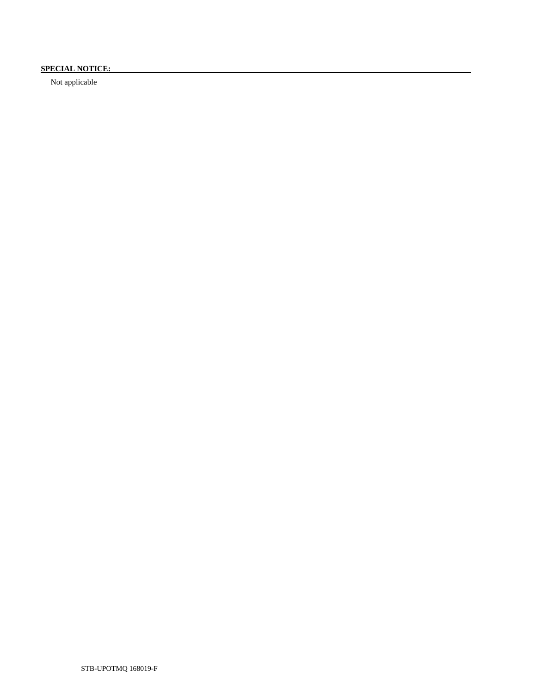# **SPECIAL NOTICE:**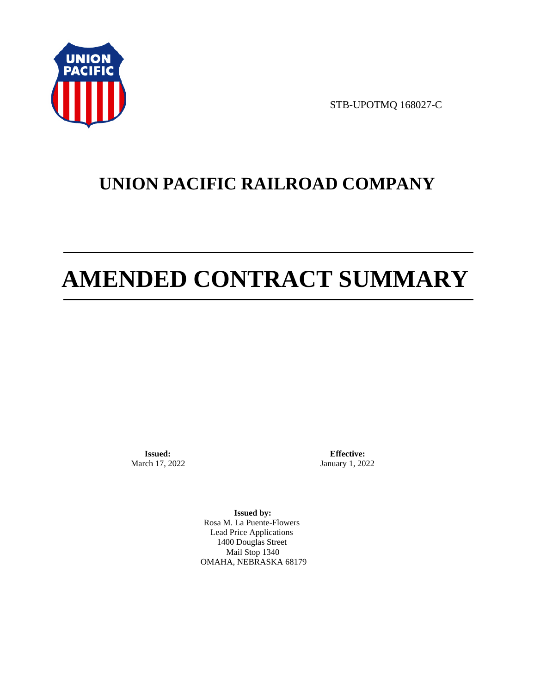

STB-UPOTMQ 168027-C

# **UNION PACIFIC RAILROAD COMPANY**

# **AMENDED CONTRACT SUMMARY**

**Issued:**  March 17, 2022

**Effective:** January 1, 2022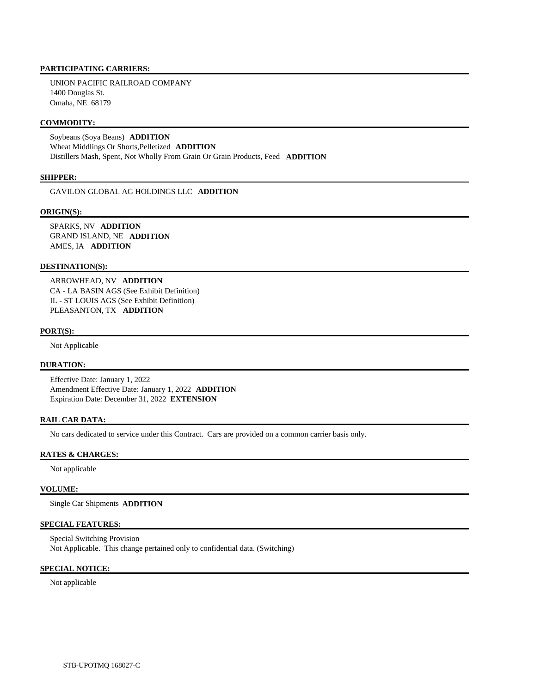UNION PACIFIC RAILROAD COMPANY 1400 Douglas St. Omaha, NE 68179

# **COMMODITY:**

 Soybeans (Soya Beans) **ADDITION**  Wheat Middlings Or Shorts,Pelletized **ADDITION**  Distillers Mash, Spent, Not Wholly From Grain Or Grain Products, Feed **ADDITION** 

## **SHIPPER:**

GAVILON GLOBAL AG HOLDINGS LLC **ADDITION** 

#### **ORIGIN(S):**

 SPARKS, NV **ADDITION**  GRAND ISLAND, NE **ADDITION**  AMES, IA **ADDITION** 

### **DESTINATION(S):**

 ARROWHEAD, NV **ADDITION**  CA - LA BASIN AGS (See Exhibit Definition) IL - ST LOUIS AGS (See Exhibit Definition) PLEASANTON, TX **ADDITION** 

#### **PORT(S):**

Not Applicable

# **DURATION:**

 Effective Date: January 1, 2022 Amendment Effective Date: January 1, 2022 **ADDITION**  Expiration Date: December 31, 2022 **EXTENSION** 

#### **RAIL CAR DATA:**

No cars dedicated to service under this Contract. Cars are provided on a common carrier basis only.

#### **RATES & CHARGES:**

Not applicable

#### **VOLUME:**

Single Car Shipments **ADDITION** 

# **SPECIAL FEATURES:**

 Special Switching Provision Not Applicable. This change pertained only to confidential data. (Switching)

# **SPECIAL NOTICE:**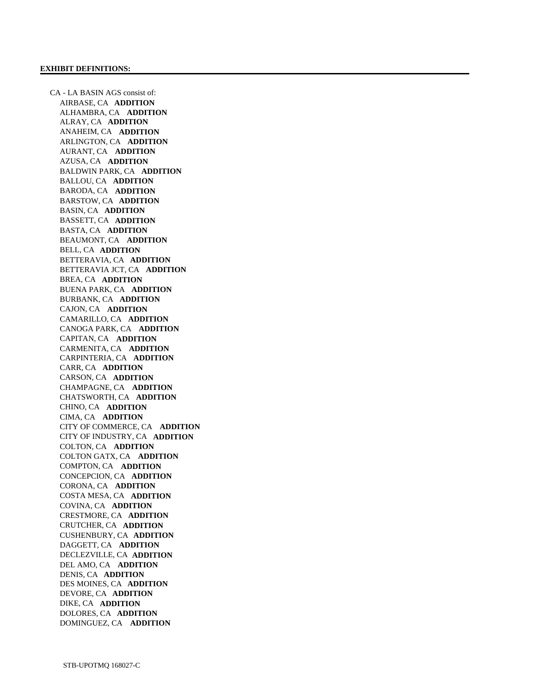CA - LA BASIN AGS consist of: AIRBASE, CA **ADDITION**  ALHAMBRA, CA **ADDITION**  ALRAY, CA **ADDITION**  ANAHEIM, CA **ADDITION**  ARLINGTON, CA **ADDITION**  AURANT, CA **ADDITION**  AZUSA, CA **ADDITION**  BALDWIN PARK, CA **ADDITION**  BALLOU, CA **ADDITION**  BARODA, CA **ADDITION**  BARSTOW, CA **ADDITION**  BASIN, CA **ADDITION**  BASSETT, CA **ADDITION**  BASTA, CA **ADDITION**  BEAUMONT, CA **ADDITION**  BELL, CA **ADDITION**  BETTERAVIA, CA **ADDITION**  BETTERAVIA JCT, CA **ADDITION**  BREA, CA **ADDITION**  BUENA PARK, CA **ADDITION**  BURBANK, CA **ADDITION**  CAJON, CA **ADDITION**  CAMARILLO, CA **ADDITION**  CANOGA PARK, CA **ADDITION**  CAPITAN, CA **ADDITION**  CARMENITA, CA **ADDITION**  CARPINTERIA, CA **ADDITION**  CARR, CA **ADDITION**  CARSON, CA **ADDITION**  CHAMPAGNE, CA **ADDITION**  CHATSWORTH, CA **ADDITION**  CHINO, CA **ADDITION**  CIMA, CA **ADDITION**  CITY OF COMMERCE, CA **ADDITION**  CITY OF INDUSTRY, CA **ADDITION**  COLTON, CA **ADDITION**  COLTON GATX, CA **ADDITION**  COMPTON, CA **ADDITION**  CONCEPCION, CA **ADDITION**  CORONA, CA **ADDITION**  COSTA MESA, CA **ADDITION**  COVINA, CA **ADDITION**  CRESTMORE, CA **ADDITION**  CRUTCHER, CA **ADDITION**  CUSHENBURY, CA **ADDITION**  DAGGETT, CA **ADDITION**  DECLEZVILLE, CA **ADDITION**  DEL AMO, CA **ADDITION**  DENIS, CA **ADDITION**  DES MOINES, CA **ADDITION**  DEVORE, CA **ADDITION**  DIKE, CA **ADDITION**  DOLORES, CA **ADDITION**  DOMINGUEZ, CA **ADDITION**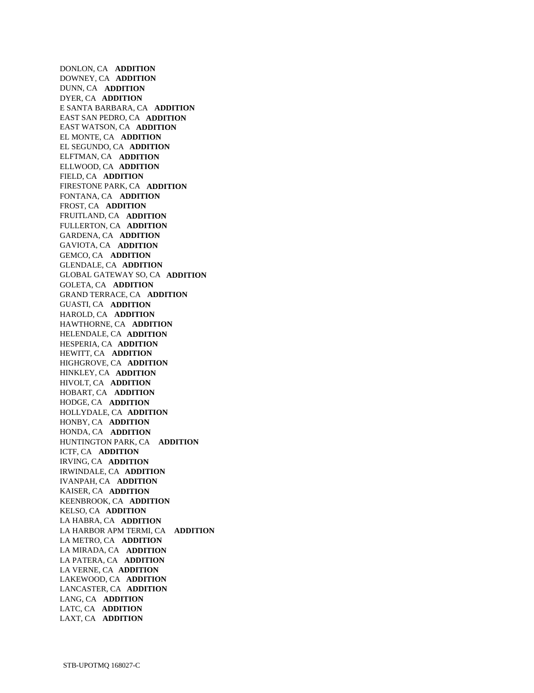DONLON, CA **ADDITION**  DOWNEY, CA **ADDITION**  DUNN, CA **ADDITION**  DYER, CA **ADDITION**  E SANTA BARBARA, CA **ADDITION**  EAST SAN PEDRO, CA **ADDITION**  EAST WATSON, CA **ADDITION**  EL MONTE, CA **ADDITION**  EL SEGUNDO, CA **ADDITION**  ELFTMAN, CA **ADDITION**  ELLWOOD, CA **ADDITION**  FIELD, CA **ADDITION**  FIRESTONE PARK, CA **ADDITION**  FONTANA, CA **ADDITION**  FROST, CA **ADDITION**  FRUITLAND, CA **ADDITION**  FULLERTON, CA **ADDITION**  GARDENA, CA **ADDITION**  GAVIOTA, CA **ADDITION**  GEMCO, CA **ADDITION**  GLENDALE, CA **ADDITION**  GLOBAL GATEWAY SO, CA **ADDITION**  GOLETA, CA **ADDITION**  GRAND TERRACE, CA **ADDITION**  GUASTI, CA **ADDITION**  HAROLD, CA **ADDITION**  HAWTHORNE, CA **ADDITION**  HELENDALE, CA **ADDITION**  HESPERIA, CA **ADDITION**  HEWITT, CA **ADDITION**  HIGHGROVE, CA **ADDITION**  HINKLEY, CA **ADDITION**  HIVOLT, CA **ADDITION**  HOBART, CA **ADDITION**  HODGE, CA **ADDITION**  HOLLYDALE, CA **ADDITION**  HONBY, CA **ADDITION**  HONDA, CA **ADDITION**  HUNTINGTON PARK, CA **ADDITION**  ICTF, CA **ADDITION**  IRVING, CA **ADDITION**  IRWINDALE, CA **ADDITION**  IVANPAH, CA **ADDITION**  KAISER, CA **ADDITION**  KEENBROOK, CA **ADDITION**  KELSO, CA **ADDITION**  LA HABRA, CA **ADDITION**  LA HARBOR APM TERMI, CA **ADDITION**  LA METRO, CA **ADDITION**  LA MIRADA, CA **ADDITION**  LA PATERA, CA **ADDITION**  LA VERNE, CA **ADDITION**  LAKEWOOD, CA **ADDITION**  LANCASTER, CA **ADDITION**  LANG, CA **ADDITION**  LATC, CA **ADDITION**  LAXT, CA **ADDITION**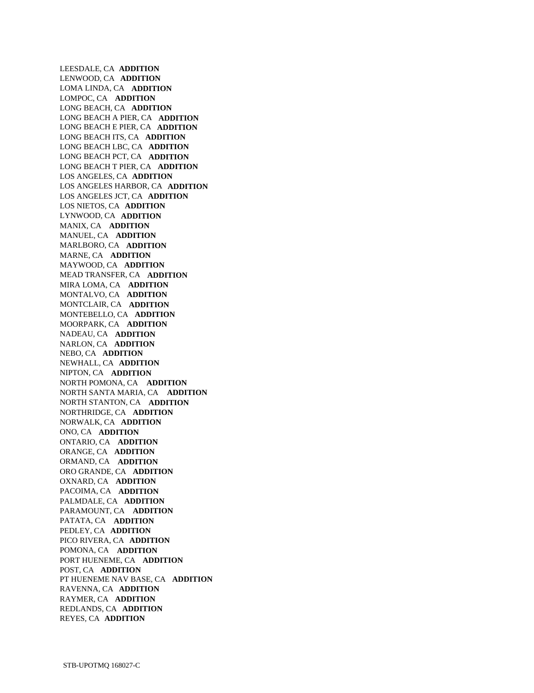LEESDALE, CA **ADDITION**  LENWOOD, CA **ADDITION**  LOMA LINDA, CA **ADDITION**  LOMPOC, CA **ADDITION**  LONG BEACH, CA **ADDITION**  LONG BEACH A PIER, CA **ADDITION**  LONG BEACH E PIER, CA **ADDITION**  LONG BEACH ITS, CA **ADDITION**  LONG BEACH LBC, CA **ADDITION**  LONG BEACH PCT, CA **ADDITION**  LONG BEACH T PIER, CA **ADDITION**  LOS ANGELES, CA **ADDITION**  LOS ANGELES HARBOR, CA **ADDITION**  LOS ANGELES JCT, CA **ADDITION**  LOS NIETOS, CA **ADDITION**  LYNWOOD, CA **ADDITION**  MANIX, CA **ADDITION**  MANUEL, CA **ADDITION**  MARLBORO, CA **ADDITION**  MARNE, CA **ADDITION**  MAYWOOD, CA **ADDITION**  MEAD TRANSFER, CA **ADDITION**  MIRA LOMA, CA **ADDITION**  MONTALVO, CA **ADDITION**  MONTCLAIR, CA **ADDITION**  MONTEBELLO, CA **ADDITION**  MOORPARK, CA **ADDITION**  NADEAU, CA **ADDITION**  NARLON, CA **ADDITION**  NEBO, CA **ADDITION**  NEWHALL, CA **ADDITION**  NIPTON, CA **ADDITION**  NORTH POMONA, CA **ADDITION**  NORTH SANTA MARIA, CA **ADDITION**  NORTH STANTON, CA **ADDITION**  NORTHRIDGE, CA **ADDITION**  NORWALK, CA **ADDITION**  ONO, CA **ADDITION**  ONTARIO, CA **ADDITION**  ORANGE, CA **ADDITION**  ORMAND, CA **ADDITION**  ORO GRANDE, CA **ADDITION**  OXNARD, CA **ADDITION**  PACOIMA, CA **ADDITION**  PALMDALE, CA **ADDITION**  PARAMOUNT, CA **ADDITION**  PATATA, CA **ADDITION**  PEDLEY, CA **ADDITION**  PICO RIVERA, CA **ADDITION**  POMONA, CA **ADDITION**  PORT HUENEME, CA **ADDITION**  POST, CA **ADDITION**  PT HUENEME NAV BASE, CA **ADDITION**  RAVENNA, CA **ADDITION**  RAYMER, CA **ADDITION**  REDLANDS, CA **ADDITION**  REYES, CA **ADDITION**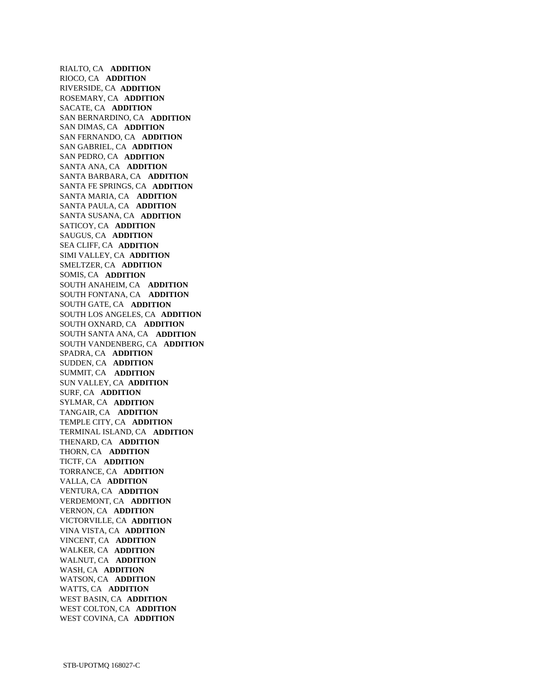RIALTO, CA **ADDITION**  RIOCO, CA **ADDITION**  RIVERSIDE, CA **ADDITION**  ROSEMARY, CA **ADDITION**  SACATE, CA **ADDITION**  SAN BERNARDINO, CA **ADDITION**  SAN DIMAS, CA **ADDITION**  SAN FERNANDO, CA **ADDITION**  SAN GABRIEL, CA **ADDITION**  SAN PEDRO, CA **ADDITION**  SANTA ANA, CA **ADDITION**  SANTA BARBARA, CA **ADDITION**  SANTA FE SPRINGS, CA **ADDITION**  SANTA MARIA, CA **ADDITION**  SANTA PAULA, CA **ADDITION**  SANTA SUSANA, CA **ADDITION**  SATICOY, CA **ADDITION**  SAUGUS, CA **ADDITION**  SEA CLIFF, CA **ADDITION**  SIMI VALLEY, CA **ADDITION**  SMELTZER, CA **ADDITION**  SOMIS, CA **ADDITION**  SOUTH ANAHEIM, CA **ADDITION**  SOUTH FONTANA, CA **ADDITION**  SOUTH GATE, CA **ADDITION**  SOUTH LOS ANGELES, CA **ADDITION**  SOUTH OXNARD, CA **ADDITION**  SOUTH SANTA ANA, CA **ADDITION**  SOUTH VANDENBERG, CA **ADDITION**  SPADRA, CA **ADDITION**  SUDDEN, CA **ADDITION**  SUMMIT, CA **ADDITION**  SUN VALLEY, CA **ADDITION**  SURF, CA **ADDITION**  SYLMAR, CA **ADDITION**  TANGAIR, CA **ADDITION**  TEMPLE CITY, CA **ADDITION**  TERMINAL ISLAND, CA **ADDITION**  THENARD, CA **ADDITION**  THORN, CA **ADDITION**  TICTF, CA **ADDITION**  TORRANCE, CA **ADDITION**  VALLA, CA **ADDITION**  VENTURA, CA **ADDITION**  VERDEMONT, CA **ADDITION**  VERNON, CA **ADDITION**  VICTORVILLE, CA **ADDITION**  VINA VISTA, CA **ADDITION**  VINCENT, CA **ADDITION**  WALKER, CA **ADDITION**  WALNUT, CA **ADDITION**  WASH, CA **ADDITION**  WATSON, CA **ADDITION**  WATTS, CA **ADDITION**  WEST BASIN, CA **ADDITION**  WEST COLTON, CA **ADDITION**  WEST COVINA, CA **ADDITION**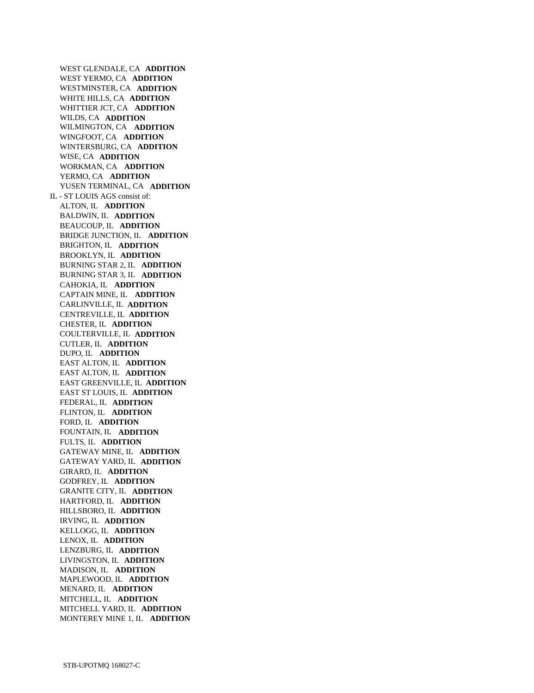WEST GLENDALE, CA **ADDITION**  WEST YERMO, CA **ADDITION**  WESTMINSTER, CA **ADDITION**  WHITE HILLS, CA **ADDITION**  WHITTIER JCT, CA **ADDITION**  WILDS, CA **ADDITION**  WILMINGTON, CA **ADDITION**  WINGFOOT, CA **ADDITION**  WINTERSBURG, CA **ADDITION**  WISE, CA **ADDITION**  WORKMAN, CA **ADDITION**  YERMO, CA **ADDITION**  YUSEN TERMINAL, CA **ADDITION**  IL - ST LOUIS AGS consist of: ALTON, IL **ADDITION**  BALDWIN, IL **ADDITION**  BEAUCOUP, IL **ADDITION**  BRIDGE JUNCTION, IL **ADDITION**  BRIGHTON, IL **ADDITION**  BROOKLYN, IL **ADDITION**  BURNING STAR 2, IL **ADDITION**  BURNING STAR 3, IL **ADDITION**  CAHOKIA, IL **ADDITION**  CAPTAIN MINE, IL **ADDITION**  CARLINVILLE, IL **ADDITION**  CENTREVILLE, IL **ADDITION**  CHESTER, IL **ADDITION**  COULTERVILLE, IL **ADDITION**  CUTLER, IL **ADDITION**  DUPO, IL **ADDITION**  EAST ALTON, IL **ADDITION**  EAST ALTON, IL **ADDITION**  EAST GREENVILLE, IL **ADDITION**  EAST ST LOUIS, IL **ADDITION**  FEDERAL, IL **ADDITION**  FLINTON, IL **ADDITION**  FORD, IL **ADDITION**  FOUNTAIN, IL **ADDITION**  FULTS, IL **ADDITION**  GATEWAY MINE, IL **ADDITION**  GATEWAY YARD, IL **ADDITION**  GIRARD, IL **ADDITION**  GODFREY, IL **ADDITION**  GRANITE CITY, IL **ADDITION**  HARTFORD, IL **ADDITION**  HILLSBORO, IL **ADDITION**  IRVING, IL **ADDITION**  KELLOGG, IL **ADDITION**  LENOX, IL **ADDITION**  LENZBURG, IL **ADDITION**  LIVINGSTON, IL **ADDITION**  MADISON, IL **ADDITION**  MAPLEWOOD, IL **ADDITION**  MENARD, IL **ADDITION**  MITCHELL, IL **ADDITION**  MITCHELL YARD, IL **ADDITION**  MONTEREY MINE 1, IL **ADDITION**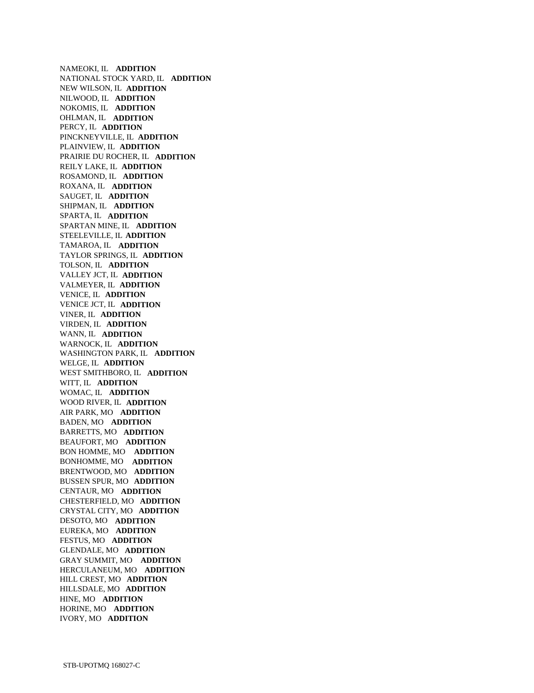NAMEOKI, IL **ADDITION**  NATIONAL STOCK YARD, IL **ADDITION**  NEW WILSON, IL **ADDITION**  NILWOOD, IL **ADDITION**  NOKOMIS, IL **ADDITION**  OHLMAN, IL **ADDITION**  PERCY, IL **ADDITION**  PINCKNEYVILLE, IL **ADDITION**  PLAINVIEW, IL **ADDITION**  PRAIRIE DU ROCHER, IL **ADDITION**  REILY LAKE, IL **ADDITION**  ROSAMOND, IL **ADDITION**  ROXANA, IL **ADDITION**  SAUGET, IL **ADDITION**  SHIPMAN, IL **ADDITION**  SPARTA, IL **ADDITION**  SPARTAN MINE, IL **ADDITION**  STEELEVILLE, IL **ADDITION**  TAMAROA, IL **ADDITION**  TAYLOR SPRINGS, IL **ADDITION**  TOLSON, IL **ADDITION**  VALLEY JCT, IL **ADDITION**  VALMEYER, IL **ADDITION**  VENICE, IL **ADDITION**  VENICE JCT, IL **ADDITION**  VINER, IL **ADDITION**  VIRDEN, IL **ADDITION**  WANN, IL **ADDITION**  WARNOCK, IL **ADDITION**  WASHINGTON PARK, IL **ADDITION**  WELGE, IL **ADDITION**  WEST SMITHBORO, IL **ADDITION**  WITT, IL **ADDITION**  WOMAC, IL **ADDITION**  WOOD RIVER, IL **ADDITION**  AIR PARK, MO **ADDITION**  BADEN, MO **ADDITION**  BARRETTS, MO **ADDITION**  BEAUFORT, MO **ADDITION**  BON HOMME, MO **ADDITION**  BONHOMME, MO **ADDITION**  BRENTWOOD, MO **ADDITION**  BUSSEN SPUR, MO **ADDITION**  CENTAUR, MO **ADDITION**  CHESTERFIELD, MO **ADDITION**  CRYSTAL CITY, MO **ADDITION**  DESOTO, MO **ADDITION**  EUREKA, MO **ADDITION**  FESTUS, MO **ADDITION**  GLENDALE, MO **ADDITION**  GRAY SUMMIT, MO **ADDITION**  HERCULANEUM, MO **ADDITION**  HILL CREST, MO **ADDITION**  HILLSDALE, MO **ADDITION**  HINE, MO **ADDITION**  HORINE, MO **ADDITION**  IVORY, MO **ADDITION**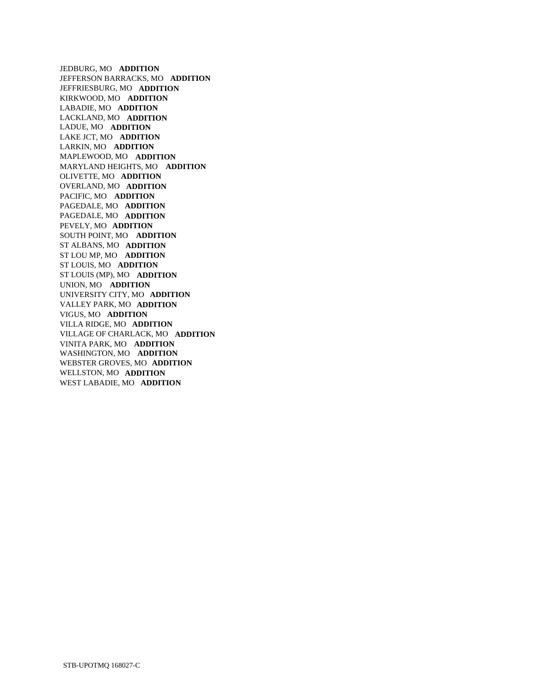JEDBURG, MO **ADDITION**  JEFFERSON BARRACKS, MO **ADDITION**  JEFFRIESBURG, MO **ADDITION**  KIRKWOOD, MO **ADDITION**  LABADIE, MO **ADDITION**  LACKLAND, MO **ADDITION**  LADUE, MO **ADDITION**  LAKE JCT, MO **ADDITION**  LARKIN, MO **ADDITION**  MAPLEWOOD, MO **ADDITION**  MARYLAND HEIGHTS, MO **ADDITION**  OLIVETTE, MO **ADDITION**  OVERLAND, MO **ADDITION**  PACIFIC, MO **ADDITION**  PAGEDALE, MO **ADDITION**  PAGEDALE, MO **ADDITION**  PEVELY, MO **ADDITION**  SOUTH POINT, MO **ADDITION**  ST ALBANS, MO **ADDITION**  ST LOU MP, MO **ADDITION**  ST LOUIS, MO **ADDITION**  ST LOUIS (MP), MO **ADDITION**  UNION, MO **ADDITION**  UNIVERSITY CITY, MO **ADDITION**  VALLEY PARK, MO **ADDITION**  VIGUS, MO **ADDITION**  VILLA RIDGE, MO **ADDITION**  VILLAGE OF CHARLACK, MO **ADDITION**  VINITA PARK, MO **ADDITION**  WASHINGTON, MO **ADDITION**  WEBSTER GROVES, MO **ADDITION**  WELLSTON, MO **ADDITION**  WEST LABADIE, MO **ADDITION**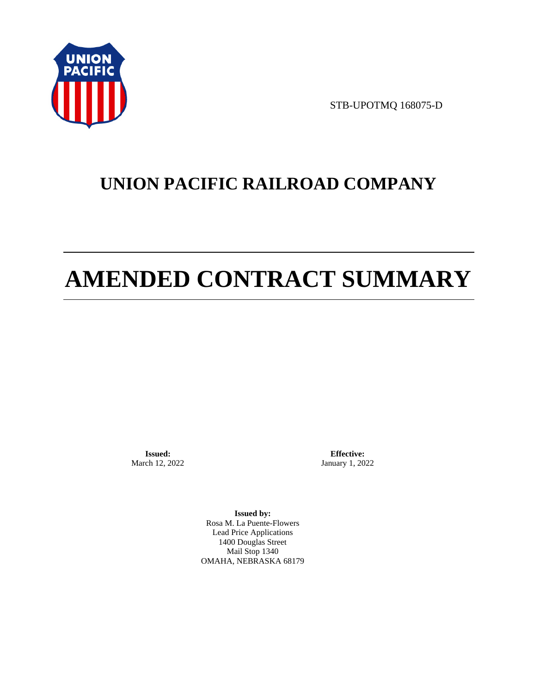

STB-UPOTMQ 168075-D

# **UNION PACIFIC RAILROAD COMPANY**

# **AMENDED CONTRACT SUMMARY**

**Issued:**  March 12, 2022

**Effective:** January 1, 2022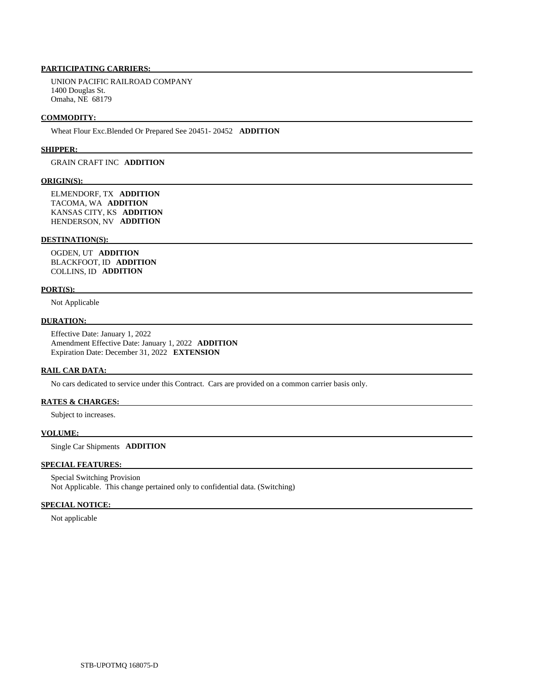UNION PACIFIC RAILROAD COMPANY 1400 Douglas St. Omaha, NE 68179

#### **COMMODITY:**

Wheat Flour Exc.Blended Or Prepared See 20451- 20452 **ADDITION** 

#### **SHIPPER:**

# GRAIN CRAFT INC **ADDITION**

#### **ORIGIN(S):**

 ELMENDORF, TX **ADDITION**  TACOMA, WA **ADDITION**  KANSAS CITY, KS **ADDITION**  HENDERSON, NV **ADDITION** 

#### **DESTINATION(S):**

 OGDEN, UT **ADDITION**  BLACKFOOT, ID **ADDITION**  COLLINS, ID **ADDITION** 

### **PORT(S):**

Not Applicable

# **DURATION:**

 Effective Date: January 1, 2022 Amendment Effective Date: January 1, 2022 **ADDITION**  Expiration Date: December 31, 2022 **EXTENSION** 

### **RAIL CAR DATA:**

No cars dedicated to service under this Contract. Cars are provided on a common carrier basis only.

# **RATES & CHARGES:**

Subject to increases.

#### **VOLUME:**

Single Car Shipments **ADDITION** 

# **SPECIAL FEATURES:**

 Special Switching Provision Not Applicable. This change pertained only to confidential data. (Switching)

#### **SPECIAL NOTICE:**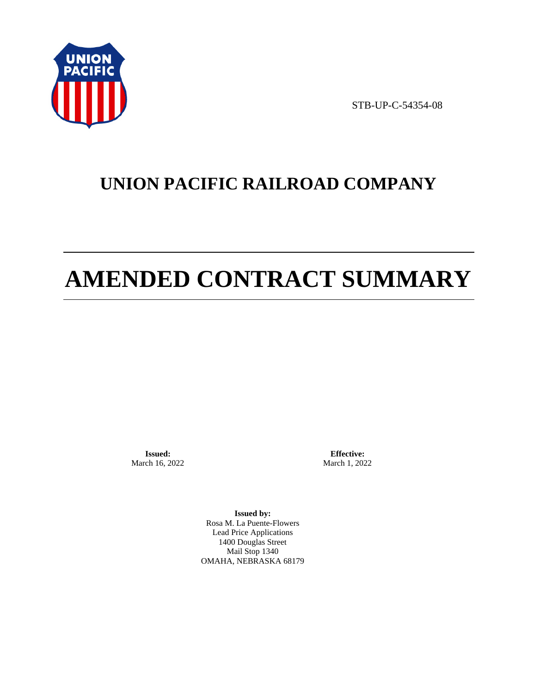

STB-UP-C-54354-08

# **UNION PACIFIC RAILROAD COMPANY**

# **AMENDED CONTRACT SUMMARY**

**Issued:**  March 16, 2022

**Effective:** March 1, 2022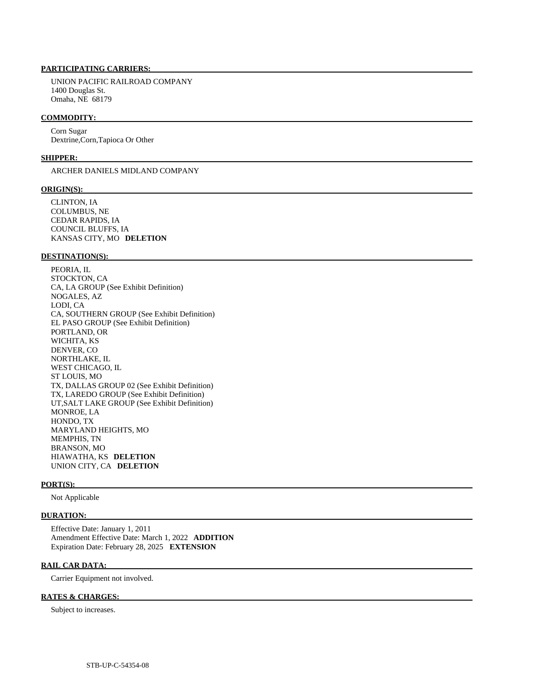UNION PACIFIC RAILROAD COMPANY 1400 Douglas St. Omaha, NE 68179

#### **COMMODITY:**

 Corn Sugar Dextrine,Corn,Tapioca Or Other

#### **SHIPPER:**

ARCHER DANIELS MIDLAND COMPANY

#### **ORIGIN(S):**

 CLINTON, IA COLUMBUS, NE CEDAR RAPIDS, IA COUNCIL BLUFFS, IA KANSAS CITY, MO **DELETION** 

# **DESTINATION(S):**

 PEORIA, IL STOCKTON, CA CA, LA GROUP (See Exhibit Definition) NOGALES, AZ LODI, CA CA, SOUTHERN GROUP (See Exhibit Definition) EL PASO GROUP (See Exhibit Definition) PORTLAND, OR WICHITA, KS DENVER, CO NORTHLAKE, IL WEST CHICAGO, IL ST LOUIS, MO TX, DALLAS GROUP 02 (See Exhibit Definition) TX, LAREDO GROUP (See Exhibit Definition) UT,SALT LAKE GROUP (See Exhibit Definition) MONROE, LA HONDO, TX MARYLAND HEIGHTS, MO MEMPHIS, TN BRANSON, MO HIAWATHA, KS **DELETION**  UNION CITY, CA **DELETION** 

# **PORT(S):**

Not Applicable

### **DURATION:**

 Effective Date: January 1, 2011 Amendment Effective Date: March 1, 2022 **ADDITION**  Expiration Date: February 28, 2025 **EXTENSION** 

## **RAIL CAR DATA:**

Carrier Equipment not involved.

# **RATES & CHARGES:**

Subject to increases.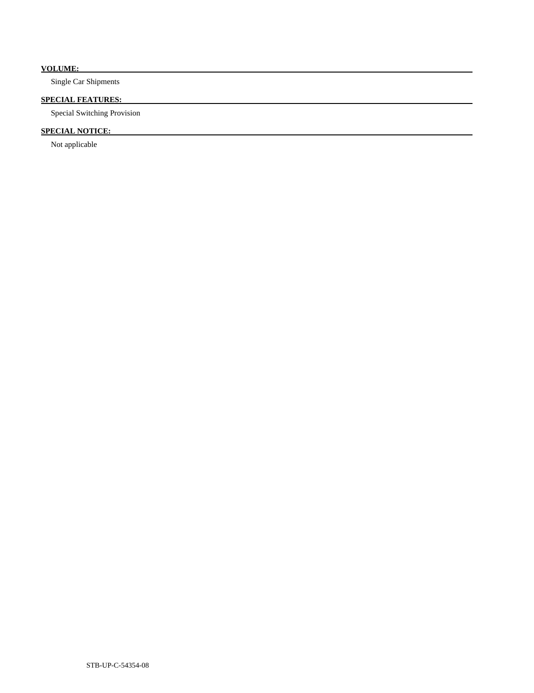# **VOLUME:**

Single Car Shipments

# **SPECIAL FEATURES:**

Special Switching Provision

# **SPECIAL NOTICE:**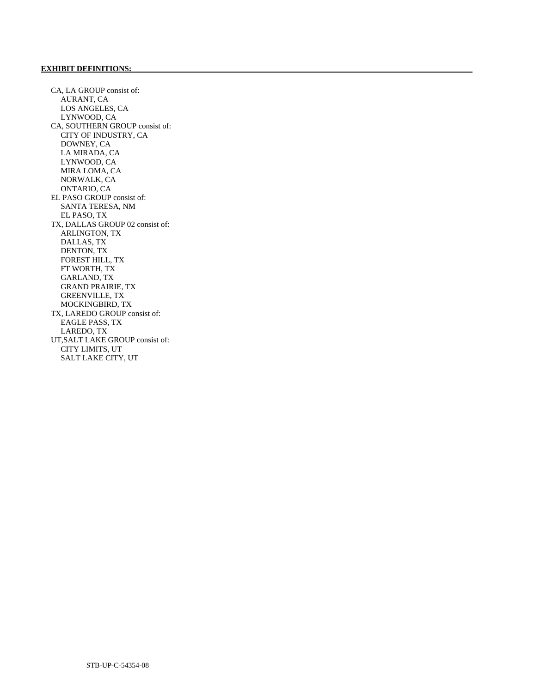# **EXHIBIT DEFINITIONS:**

 CA, LA GROUP consist of: AURANT, CA LOS ANGELES, CA LYNWOOD, CA CA, SOUTHERN GROUP consist of: CITY OF INDUSTRY, CA DOWNEY, CA LA MIRADA, CA LYNWOOD, CA MIRA LOMA, CA NORWALK, CA ONTARIO, CA EL PASO GROUP consist of: SANTA TERESA, NM EL PASO, TX TX, DALLAS GROUP 02 consist of: ARLINGTON, TX DALLAS, TX DENTON, TX FOREST HILL, TX FT WORTH, TX GARLAND, TX GRAND PRAIRIE, TX GREENVILLE, TX MOCKINGBIRD, TX TX, LAREDO GROUP consist of: EAGLE PASS, TX LAREDO, TX UT,SALT LAKE GROUP consist of: CITY LIMITS, UT SALT LAKE CITY, UT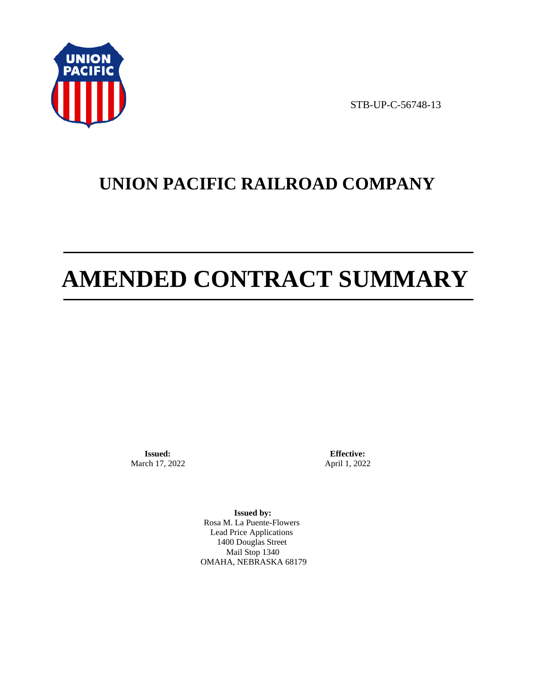

STB-UP-C-56748-13

# **UNION PACIFIC RAILROAD COMPANY**

# **AMENDED CONTRACT SUMMARY**

**Issued:**  March 17, 2022

**Effective:** April 1, 2022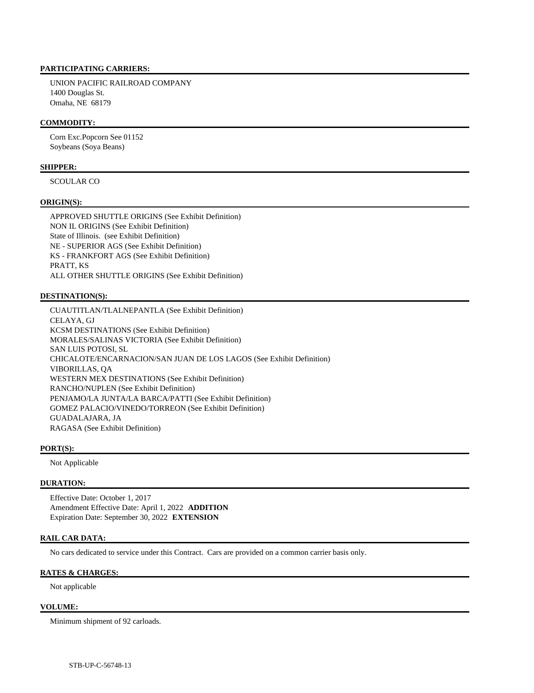UNION PACIFIC RAILROAD COMPANY 1400 Douglas St. Omaha, NE 68179

# **COMMODITY:**

 Corn Exc.Popcorn See 01152 Soybeans (Soya Beans)

# **SHIPPER:**

SCOULAR CO

### **ORIGIN(S):**

 APPROVED SHUTTLE ORIGINS (See Exhibit Definition) NON IL ORIGINS (See Exhibit Definition) State of Illinois. (see Exhibit Definition) NE - SUPERIOR AGS (See Exhibit Definition) KS - FRANKFORT AGS (See Exhibit Definition) PRATT, KS ALL OTHER SHUTTLE ORIGINS (See Exhibit Definition)

### **DESTINATION(S):**

 CUAUTITLAN/TLALNEPANTLA (See Exhibit Definition) CELAYA, GJ KCSM DESTINATIONS (See Exhibit Definition) MORALES/SALINAS VICTORIA (See Exhibit Definition) SAN LUIS POTOSI, SL CHICALOTE/ENCARNACION/SAN JUAN DE LOS LAGOS (See Exhibit Definition) VIBORILLAS, QA WESTERN MEX DESTINATIONS (See Exhibit Definition) RANCHO/NUPLEN (See Exhibit Definition) PENJAMO/LA JUNTA/LA BARCA/PATTI (See Exhibit Definition) GOMEZ PALACIO/VINEDO/TORREON (See Exhibit Definition) GUADALAJARA, JA RAGASA (See Exhibit Definition)

#### **PORT(S):**

Not Applicable

# **DURATION:**

 Effective Date: October 1, 2017 Amendment Effective Date: April 1, 2022 **ADDITION**  Expiration Date: September 30, 2022 **EXTENSION** 

# **RAIL CAR DATA:**

No cars dedicated to service under this Contract. Cars are provided on a common carrier basis only.

### **RATES & CHARGES:**

Not applicable

#### **VOLUME:**

Minimum shipment of 92 carloads.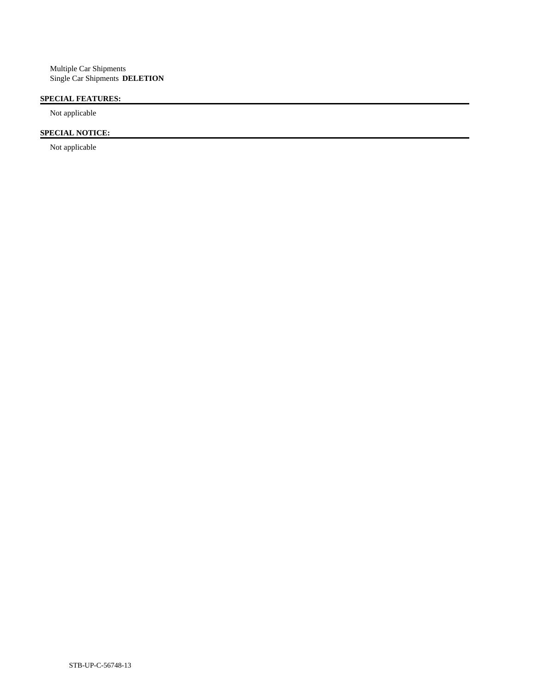# **SPECIAL FEATURES:**

Not applicable

# **SPECIAL NOTICE:**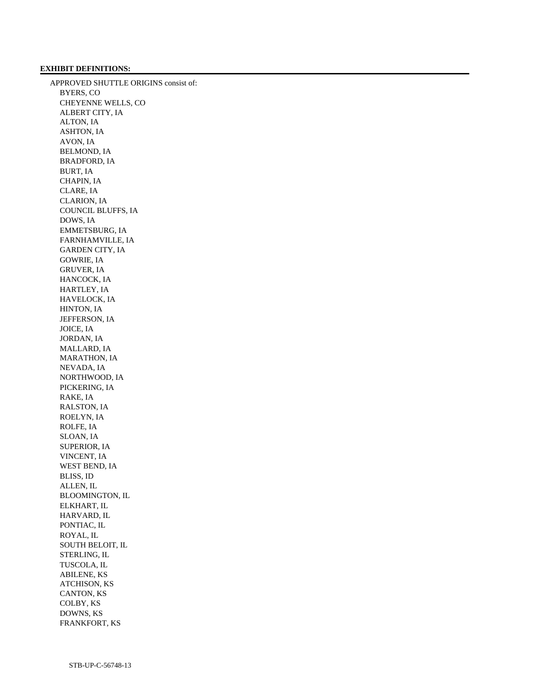# **EXHIBIT DEFINITIONS:**

 APPROVED SHUTTLE ORIGINS consist of: BYERS, CO CHEYENNE WELLS, CO ALBERT CITY, IA ALTON, IA ASHTON, IA AVON, IA BELMOND, IA BRADFORD, IA BURT, IA CHAPIN, IA CLARE, IA CLARION, IA COUNCIL BLUFFS, IA DOWS, IA EMMETSBURG, IA FARNHAMVILLE, IA GARDEN CITY, IA GOWRIE, IA GRUVER, IA HANCOCK, IA HARTLEY, IA HAVELOCK, IA HINTON, IA JEFFERSON, IA JOICE, IA JORDAN, IA MALLARD, IA MARATHON, IA NEVADA, IA NORTHWOOD, IA PICKERING, IA RAKE, IA RALSTON, IA ROELYN, IA ROLFE, IA SLOAN, IA SUPERIOR, IA VINCENT, IA WEST BEND, IA BLISS, ID ALLEN, IL BLOOMINGTON, IL ELKHART, IL HARVARD, IL PONTIAC, IL ROYAL, IL SOUTH BELOIT, IL STERLING, IL TUSCOLA, IL ABILENE, KS ATCHISON, KS CANTON, KS COLBY, KS DOWNS, KS FRANKFORT, KS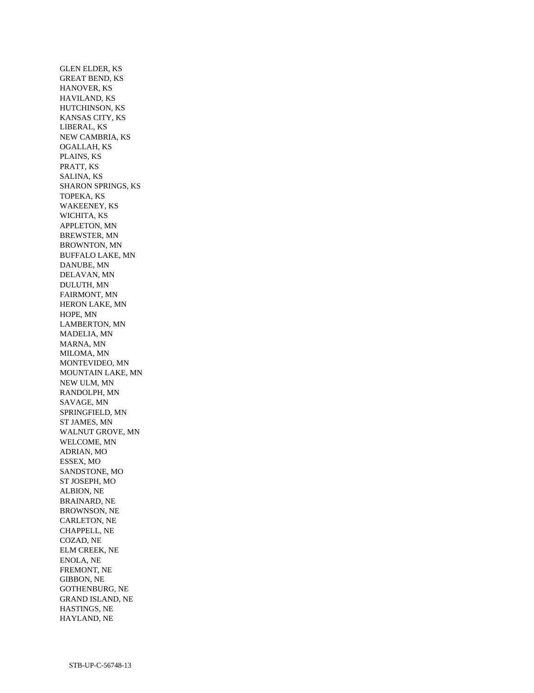GLEN ELDER, KS GREAT BEND, KS HANOVER, KS HAVILAND, KS HUTCHINSON, KS KANSAS CITY, KS LIBERAL, KS NEW CAMBRIA, KS OGALLAH, KS PLAINS, KS PRATT, KS SALINA, KS SHARON SPRINGS, KS TOPEKA, KS WAKEENEY, KS WICHITA, KS APPLETON, MN BREWSTER, MN BROWNTON, MN BUFFALO LAKE, MN DANUBE, MN DELAVAN, MN DULUTH, MN FAIRMONT, MN HERON LAKE, MN HOPE, MN LAMBERTON, MN MADELIA, MN MARNA, MN MILOMA, MN MONTEVIDEO, MN MOUNTAIN LAKE, MN NEW ULM, MN RANDOLPH, MN SAVAGE, MN SPRINGFIELD, MN ST JAMES, MN WALNUT GROVE, MN WELCOME, MN ADRIAN, MO ESSEX, MO SANDSTONE, MO ST JOSEPH, MO ALBION, NE BRAINARD, NE BROWNSON, NE CARLETON, NE CHAPPELL, NE COZAD, NE ELM CREEK, NE ENOLA, NE FREMONT, NE GIBBON, NE GOTHENBURG, NE GRAND ISLAND, NE HASTINGS, NE HAYLAND, NE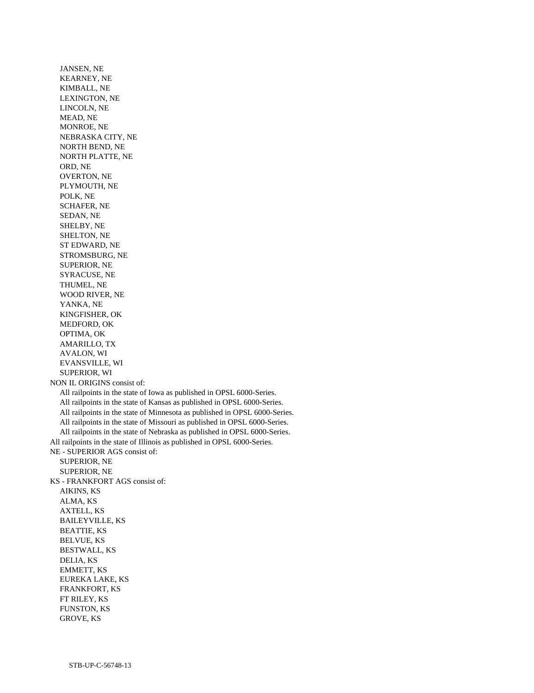JANSEN, NE KEARNEY, NE KIMBALL, NE LEXINGTON, NE LINCOLN, NE MEAD, NE MONROE, NE NEBRASKA CITY, NE NORTH BEND, NE NORTH PLATTE, NE ORD, NE OVERTON, NE PLYMOUTH, NE POLK, NE SCHAFER, NE SEDAN, NE SHELBY, NE SHELTON, NE ST EDWARD, NE STROMSBURG, NE SUPERIOR, NE SYRACUSE, NE THUMEL, NE WOOD RIVER, NE YANKA, NE KINGFISHER, OK MEDFORD, OK OPTIMA, OK AMARILLO, TX AVALON, WI EVANSVILLE, WI SUPERIOR, WI NON IL ORIGINS consist of: All railpoints in the state of Iowa as published in OPSL 6000-Series. All railpoints in the state of Kansas as published in OPSL 6000-Series. All railpoints in the state of Minnesota as published in OPSL 6000-Series. All railpoints in the state of Missouri as published in OPSL 6000-Series. All railpoints in the state of Nebraska as published in OPSL 6000-Series. All railpoints in the state of Illinois as published in OPSL 6000-Series. NE - SUPERIOR AGS consist of: SUPERIOR, NE SUPERIOR, NE KS - FRANKFORT AGS consist of: AIKINS, KS ALMA, KS AXTELL, KS BAILEYVILLE, KS BEATTIE, KS BELVUE, KS BESTWALL, KS DELIA, KS EMMETT, KS EUREKA LAKE, KS FRANKFORT, KS FT RILEY, KS FUNSTON, KS GROVE, KS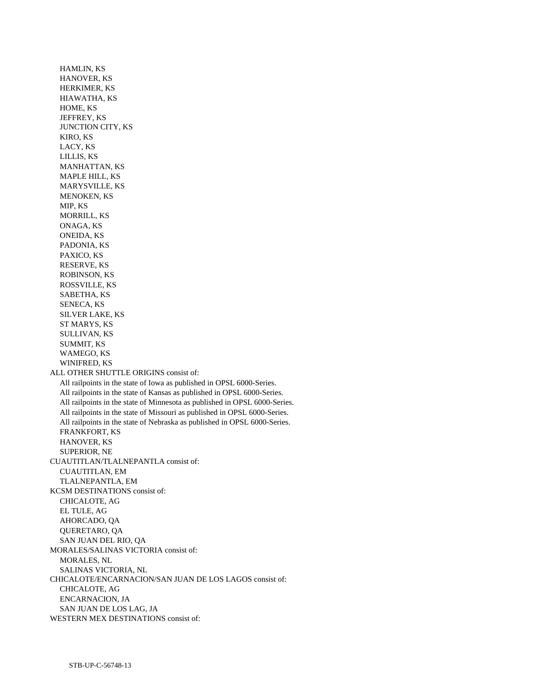HAMLIN, KS HANOVER, KS HERKIMER, KS HIAWATHA, KS HOME, KS JEFFREY, KS JUNCTION CITY, KS KIRO, KS LACY, KS LILLIS, KS MANHATTAN, KS MAPLE HILL, KS MARYSVILLE, KS MENOKEN, KS MIP, KS MORRILL, KS ONAGA, KS ONEIDA, KS PADONIA, KS PAXICO, KS RESERVE, KS ROBINSON, KS ROSSVILLE, KS SABETHA, KS SENECA, KS SILVER LAKE, KS ST MARYS, KS SULLIVAN, KS SUMMIT, KS WAMEGO, KS WINIFRED, KS ALL OTHER SHUTTLE ORIGINS consist of: All railpoints in the state of Iowa as published in OPSL 6000-Series. All railpoints in the state of Kansas as published in OPSL 6000-Series. All railpoints in the state of Minnesota as published in OPSL 6000-Series. All railpoints in the state of Missouri as published in OPSL 6000-Series. All railpoints in the state of Nebraska as published in OPSL 6000-Series. FRANKFORT, KS HANOVER, KS SUPERIOR, NE CUAUTITLAN/TLALNEPANTLA consist of: CUAUTITLAN, EM TLALNEPANTLA, EM KCSM DESTINATIONS consist of: CHICALOTE, AG EL TULE, AG AHORCADO, QA QUERETARO, QA SAN JUAN DEL RIO, QA MORALES/SALINAS VICTORIA consist of: MORALES, NL SALINAS VICTORIA, NL CHICALOTE/ENCARNACION/SAN JUAN DE LOS LAGOS consist of: CHICALOTE, AG ENCARNACION, JA SAN JUAN DE LOS LAG, JA WESTERN MEX DESTINATIONS consist of: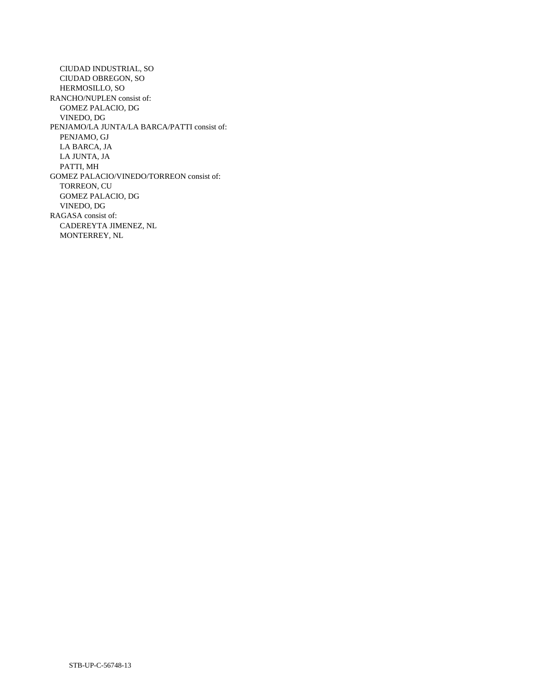CIUDAD INDUSTRIAL, SO CIUDAD OBREGON, SO HERMOSILLO, SO RANCHO/NUPLEN consist of: GOMEZ PALACIO, DG VINEDO, DG PENJAMO/LA JUNTA/LA BARCA/PATTI consist of: PENJAMO, GJ LA BARCA, JA LA JUNTA, JA PATTI, MH GOMEZ PALACIO/VINEDO/TORREON consist of: TORREON, CU GOMEZ PALACIO, DG VINEDO, DG RAGASA consist of: CADEREYTA JIMENEZ, NL MONTERREY, NL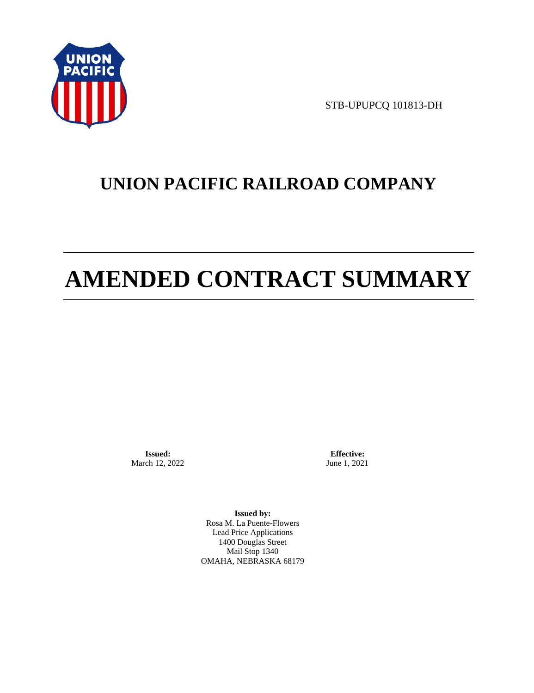

STB-UPUPCQ 101813-DH

# **UNION PACIFIC RAILROAD COMPANY**

# **AMENDED CONTRACT SUMMARY**

**Issued:**  March 12, 2022

**Effective:** June 1, 2021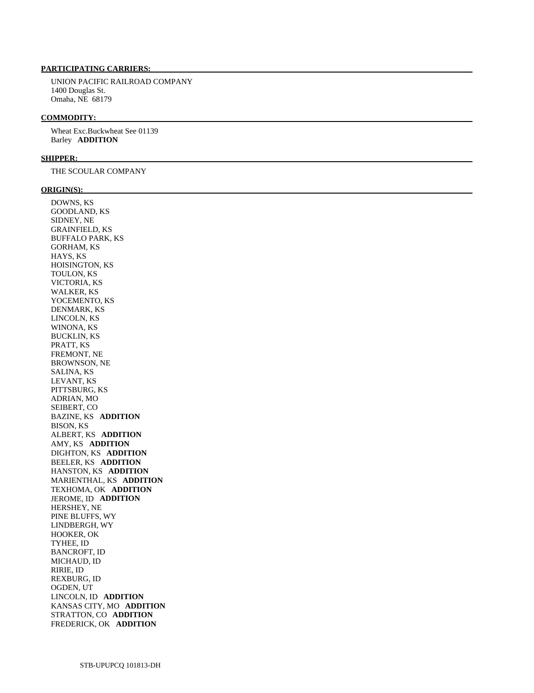UNION PACIFIC RAILROAD COMPANY 1400 Douglas St. Omaha, NE 68179

#### **COMMODITY:**

 Wheat Exc.Buckwheat See 01139 Barley **ADDITION** 

#### **SHIPPER:**

THE SCOULAR COMPANY

#### **ORIGIN(S):**

 DOWNS, KS GOODLAND, KS SIDNEY, NE GRAINFIELD, KS BUFFALO PARK, KS GORHAM, KS HAYS, KS HOISINGTON, KS TOULON, KS VICTORIA, KS WALKER, KS YOCEMENTO, KS DENMARK, KS LINCOLN, KS WINONA, KS BUCKLIN, KS PRATT, KS FREMONT, NE BROWNSON, NE SALINA, KS LEVANT, KS PITTSBURG, KS ADRIAN, MO SEIBERT, CO BAZINE, KS **ADDITION**  BISON, KS ALBERT, KS **ADDITION**  AMY, KS **ADDITION**  DIGHTON, KS **ADDITION**  BEELER, KS **ADDITION**  HANSTON, KS **ADDITION**  MARIENTHAL, KS **ADDITION**  TEXHOMA, OK **ADDITION**  JEROME, ID **ADDITION**  HERSHEY, NE PINE BLUFFS, WY LINDBERGH, WY HOOKER, OK TYHEE, ID BANCROFT, ID MICHAUD, ID RIRIE, ID REXBURG, ID OGDEN, UT LINCOLN, ID **ADDITION**  KANSAS CITY, MO **ADDITION**  STRATTON, CO **ADDITION**  FREDERICK, OK **ADDITION**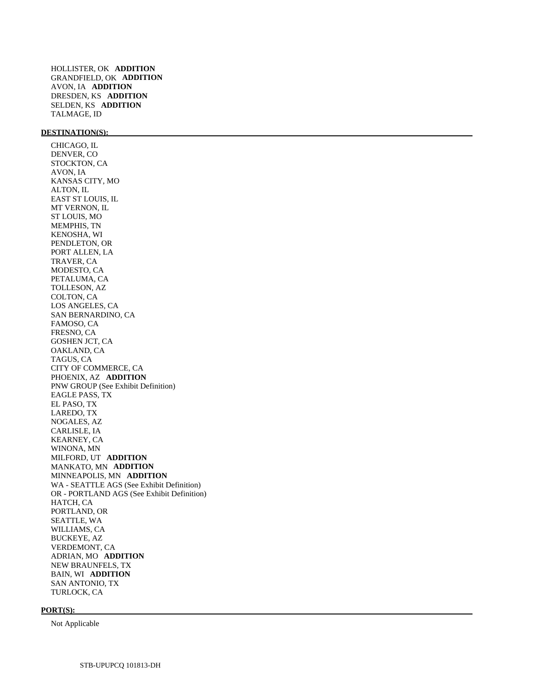HOLLISTER, OK **ADDITION**  GRANDFIELD, OK **ADDITION**  AVON, IA **ADDITION**  DRESDEN, KS **ADDITION**  SELDEN, KS **ADDITION**  TALMAGE, ID

# **DESTINATION(S):**

 CHICAGO, IL DENVER, CO STOCKTON, CA AVON, IA KANSAS CITY, MO ALTON, IL EAST ST LOUIS, IL MT VERNON, IL ST LOUIS, MO MEMPHIS, TN KENOSHA, WI PENDLETON, OR PORT ALLEN, LA TRAVER, CA MODESTO, CA PETALUMA, CA TOLLESON, AZ COLTON, CA LOS ANGELES, CA SAN BERNARDINO, CA FAMOSO, CA FRESNO, CA GOSHEN JCT, CA OAKLAND, CA TAGUS, CA CITY OF COMMERCE, CA PHOENIX, AZ **ADDITION**  PNW GROUP (See Exhibit Definition) EAGLE PASS, TX EL PASO, TX LAREDO, TX NOGALES, AZ CARLISLE, IA KEARNEY, CA WINONA, MN MILFORD, UT **ADDITION**  MANKATO, MN **ADDITION**  MINNEAPOLIS, MN **ADDITION**  WA - SEATTLE AGS (See Exhibit Definition) OR - PORTLAND AGS (See Exhibit Definition) HATCH, CA PORTLAND, OR SEATTLE, WA WILLIAMS, CA BUCKEYE, AZ VERDEMONT, CA ADRIAN, MO **ADDITION**  NEW BRAUNFELS, TX BAIN, WI **ADDITION**  SAN ANTONIO, TX TURLOCK, CA

#### **PORT(S):**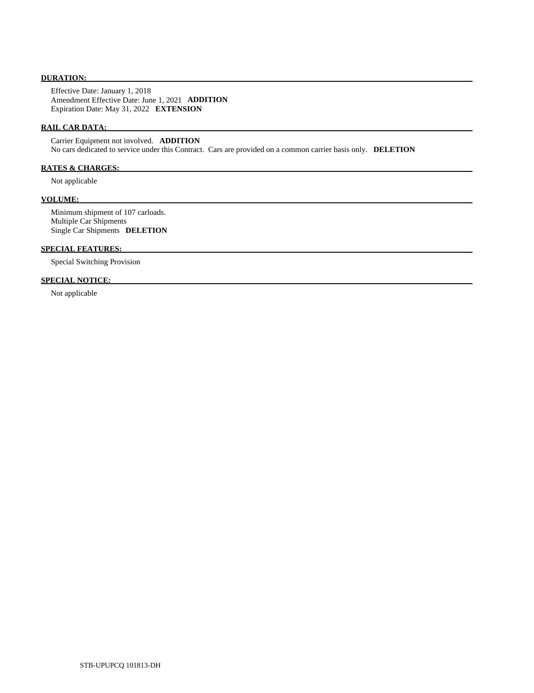# **DURATION:**

 Effective Date: January 1, 2018 Amendment Effective Date: June 1, 2021 **ADDITION**  Expiration Date: May 31, 2022 **EXTENSION** 

# **RAIL CAR DATA:**

 Carrier Equipment not involved. **ADDITION**  No cars dedicated to service under this Contract. Cars are provided on a common carrier basis only. **DELETION** 

# **RATES & CHARGES:**

Not applicable

#### **VOLUME:**

 Minimum shipment of 107 carloads. Multiple Car Shipments Single Car Shipments **DELETION** 

# **SPECIAL FEATURES:**

Special Switching Provision

# **SPECIAL NOTICE:**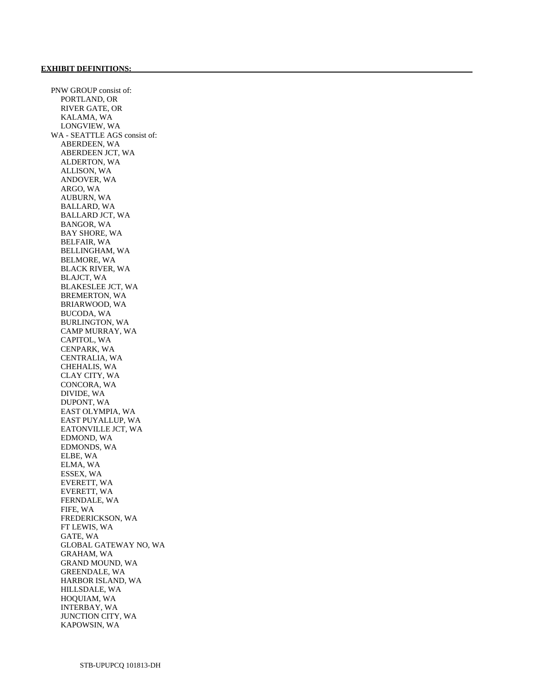PNW GROUP consist of: PORTLAND, OR RIVER GATE, OR KALAMA, WA LONGVIEW, WA WA - SEATTLE AGS consist of: ABERDEEN, WA ABERDEEN JCT, WA ALDERTON, WA ALLISON, WA ANDOVER, WA ARGO, WA AUBURN, WA BALLARD, WA BALLARD JCT, WA BANGOR, WA BAY SHORE, WA BELFAIR, WA BELLINGHAM, WA BELMORE, WA BLACK RIVER, WA BLAJCT, WA BLAKESLEE JCT, WA BREMERTON, WA BRIARWOOD, WA BUCODA, WA BURLINGTON, WA CAMP MURRAY, WA CAPITOL, WA CENPARK, WA CENTRALIA, WA CHEHALIS, WA CLAY CITY, WA CONCORA, WA DIVIDE, WA DUPONT, WA EAST OLYMPIA, WA EAST PUYALLUP, WA EATONVILLE JCT, WA EDMOND, WA EDMONDS, WA ELBE, WA ELMA, WA ESSEX, WA EVERETT, WA EVERETT, WA FERNDALE, WA FIFE, WA FREDERICKSON, WA FT LEWIS, WA GATE, WA GLOBAL GATEWAY NO, WA GRAHAM, WA GRAND MOUND, WA GREENDALE, WA HARBOR ISLAND, WA HILLSDALE, WA HOQUIAM, WA INTERBAY, WA JUNCTION CITY, WA KAPOWSIN, WA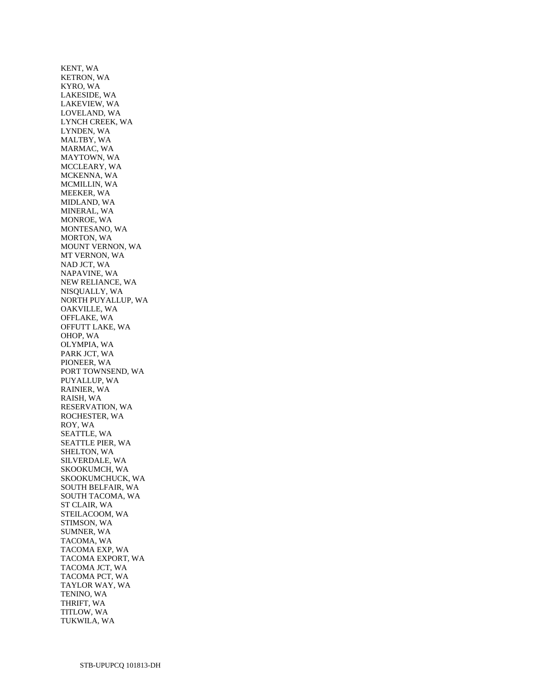KENT, WA KETRON, WA KYRO, WA LAKESIDE, WA LAKEVIEW, WA LOVELAND, WA LYNCH CREEK, WA LYNDEN, WA MALTBY, WA MARMAC, WA MAYTOWN, WA MCCLEARY, WA MCKENNA, WA MCMILLIN, WA MEEKER, WA MIDLAND, WA MINERAL, WA MONROE, WA MONTESANO, WA MORTON, WA MOUNT VERNON, WA MT VERNON, WA NAD JCT, WA NAPAVINE, WA NEW RELIANCE, WA NISQUALLY, WA NORTH PUYALLUP, WA OAKVILLE, WA OFFLAKE, WA OFFUTT LAKE, WA OHOP, WA OLYMPIA, WA PARK JCT, WA PIONEER, WA PORT TOWNSEND, WA PUYALLUP, WA RAINIER, WA RAISH, WA RESERVATION, WA ROCHESTER, WA ROY, WA SEATTLE, WA SEATTLE PIER, WA SHELTON, WA SILVERDALE, WA SKOOKUMCH, WA SKOOKUMCHUCK, WA SOUTH BELFAIR, WA SOUTH TACOMA, WA ST CLAIR, WA STEILACOOM, WA STIMSON, WA SUMNER, WA TACOMA, WA TACOMA EXP, WA TACOMA EXPORT, WA TACOMA JCT, WA TACOMA PCT, WA TAYLOR WAY, WA TENINO, WA THRIFT, WA TITLOW, WA TUKWILA, WA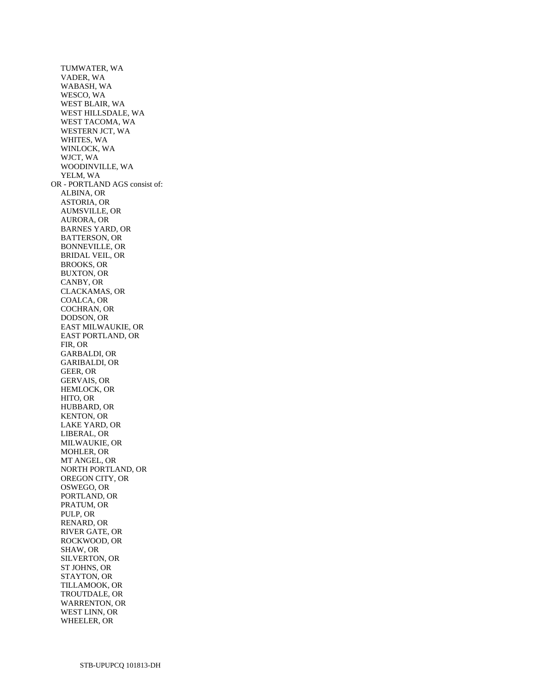TUMWATER, WA VADER, WA WABASH, WA WESCO, WA WEST BLAIR, WA WEST HILLSDALE, WA WEST TACOMA, WA WESTERN JCT, WA WHITES, WA WINLOCK, WA WJCT, WA WOODINVILLE, WA YELM, WA OR - PORTLAND AGS consist of: ALBINA, OR ASTORIA, OR AUMSVILLE, OR AURORA, OR BARNES YARD, OR BATTERSON, OR BONNEVILLE, OR BRIDAL VEIL, OR BROOKS, OR BUXTON, OR CANBY, OR CLACKAMAS, OR COALCA, OR COCHRAN, OR DODSON, OR EAST MILWAUKIE, OR EAST PORTLAND, OR FIR, OR GARBALDI, OR GARIBALDI, OR GEER, OR GERVAIS, OR HEMLOCK, OR HITO, OR HUBBARD, OR KENTON, OR LAKE YARD, OR LIBERAL, OR MILWAUKIE, OR MOHLER, OR MT ANGEL, OR NORTH PORTLAND, OR OREGON CITY, OR OSWEGO, OR PORTLAND, OR PRATUM, OR PULP, OR RENARD, OR RIVER GATE, OR ROCKWOOD, OR SHAW, OR SILVERTON, OR ST JOHNS, OR STAYTON, OR TILLAMOOK, OR TROUTDALE, OR WARRENTON, OR WEST LINN, OR WHEELER, OR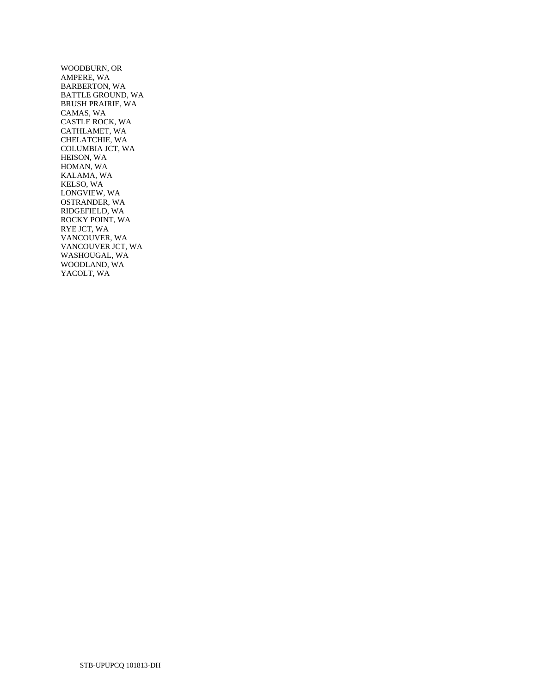WOODBURN, OR AMPERE, WA BARBERTON, WA BATTLE GROUND, WA BRUSH PRAIRIE, WA CAMAS, WA CASTLE ROCK, WA CATHLAMET, WA CHELATCHIE, WA COLUMBIA JCT, WA HEISON, WA HOMAN, WA KALAMA, WA KELSO, WA LONGVIEW, WA OSTRANDER, WA RIDGEFIELD, WA ROCKY POINT, WA RYE JCT, WA VANCOUVER, WA VANCOUVER JCT, WA WASHOUGAL, WA WOODLAND, WA YACOLT, WA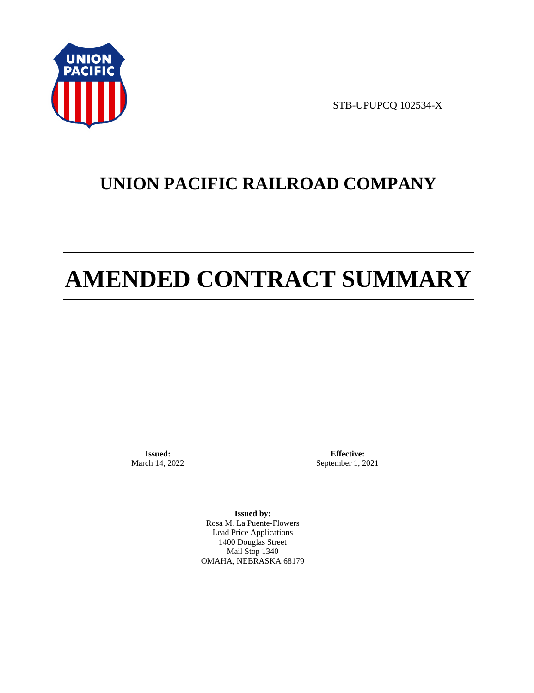

STB-UPUPCQ 102534-X

# **UNION PACIFIC RAILROAD COMPANY**

# **AMENDED CONTRACT SUMMARY**

**Issued:**  March 14, 2022

**Effective:** September 1, 2021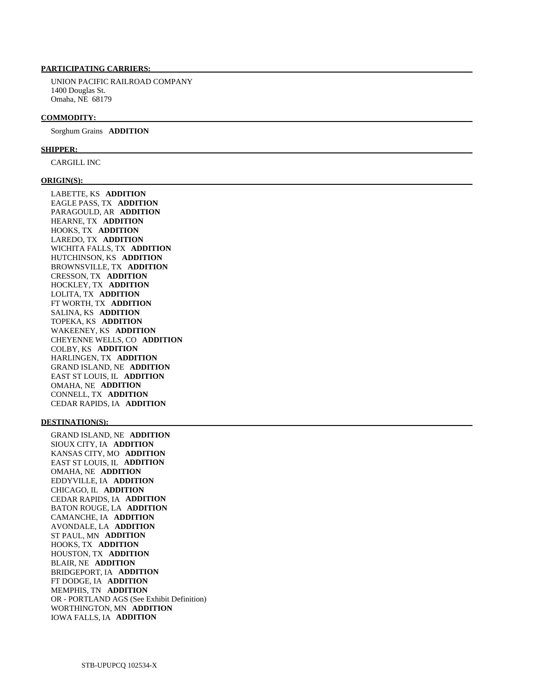UNION PACIFIC RAILROAD COMPANY 1400 Douglas St. Omaha, NE 68179

#### **COMMODITY:**

Sorghum Grains **ADDITION** 

#### **SHIPPER:**

CARGILL INC

#### **ORIGIN(S):**

 LABETTE, KS **ADDITION**  EAGLE PASS, TX **ADDITION**  PARAGOULD, AR **ADDITION**  HEARNE, TX **ADDITION**  HOOKS, TX **ADDITION**  LAREDO, TX **ADDITION**  WICHITA FALLS, TX **ADDITION**  HUTCHINSON, KS **ADDITION**  BROWNSVILLE, TX **ADDITION**  CRESSON, TX **ADDITION**  HOCKLEY, TX **ADDITION**  LOLITA, TX **ADDITION**  FT WORTH, TX **ADDITION**  SALINA, KS **ADDITION**  TOPEKA, KS **ADDITION**  WAKEENEY, KS **ADDITION**  CHEYENNE WELLS, CO **ADDITION**  COLBY, KS **ADDITION**  HARLINGEN, TX **ADDITION**  GRAND ISLAND, NE **ADDITION**  EAST ST LOUIS, IL **ADDITION**  OMAHA, NE **ADDITION**  CONNELL, TX **ADDITION**  CEDAR RAPIDS, IA **ADDITION** 

#### **DESTINATION(S):**

 GRAND ISLAND, NE **ADDITION**  SIOUX CITY, IA **ADDITION**  KANSAS CITY, MO **ADDITION**  EAST ST LOUIS, IL **ADDITION**  OMAHA, NE **ADDITION**  EDDYVILLE, IA **ADDITION**  CHICAGO, IL **ADDITION**  CEDAR RAPIDS, IA **ADDITION**  BATON ROUGE, LA **ADDITION**  CAMANCHE, IA **ADDITION**  AVONDALE, LA **ADDITION**  ST PAUL, MN **ADDITION**  HOOKS, TX **ADDITION**  HOUSTON, TX **ADDITION**  BLAIR, NE **ADDITION**  BRIDGEPORT, IA **ADDITION**  FT DODGE, IA **ADDITION**  MEMPHIS, TN **ADDITION**  OR - PORTLAND AGS (See Exhibit Definition) WORTHINGTON, MN **ADDITION**  IOWA FALLS, IA **ADDITION**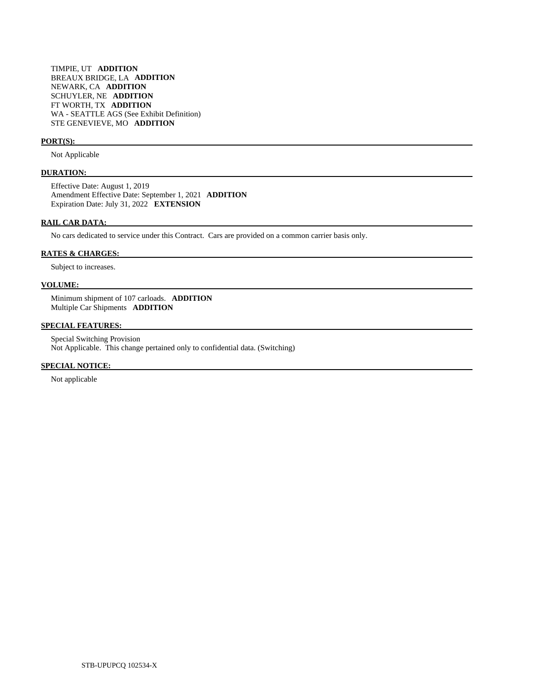TIMPIE, UT **ADDITION**  BREAUX BRIDGE, LA **ADDITION**  NEWARK, CA **ADDITION**  SCHUYLER, NE **ADDITION**  FT WORTH, TX **ADDITION**  WA - SEATTLE AGS (See Exhibit Definition) STE GENEVIEVE, MO **ADDITION** 

#### **PORT(S):**

Not Applicable

## **DURATION:**

 Effective Date: August 1, 2019 Amendment Effective Date: September 1, 2021 **ADDITION**  Expiration Date: July 31, 2022 **EXTENSION** 

#### **RAIL CAR DATA:**

No cars dedicated to service under this Contract. Cars are provided on a common carrier basis only.

# **RATES & CHARGES:**

Subject to increases.

# **VOLUME:**

 Minimum shipment of 107 carloads. **ADDITION**  Multiple Car Shipments **ADDITION** 

# **SPECIAL FEATURES:**

 Special Switching Provision Not Applicable. This change pertained only to confidential data. (Switching)

# **SPECIAL NOTICE:**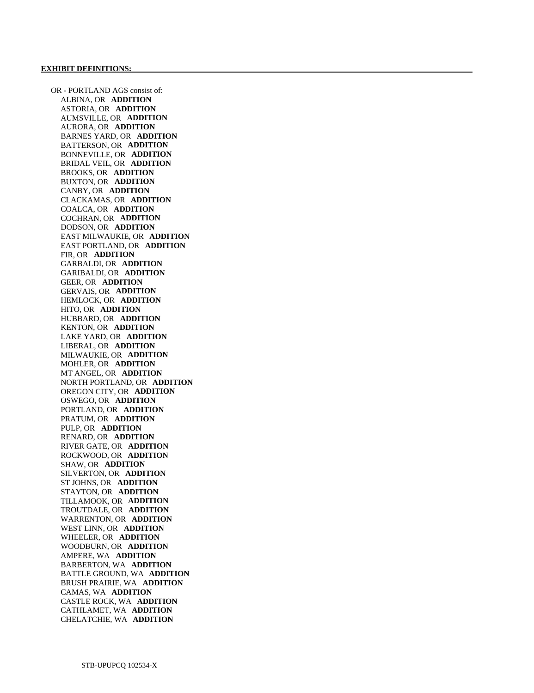OR - PORTLAND AGS consist of: ALBINA, OR **ADDITION**  ASTORIA, OR **ADDITION**  AUMSVILLE, OR **ADDITION**  AURORA, OR **ADDITION**  BARNES YARD, OR **ADDITION**  BATTERSON, OR **ADDITION**  BONNEVILLE, OR **ADDITION**  BRIDAL VEIL, OR **ADDITION**  BROOKS, OR **ADDITION**  BUXTON, OR **ADDITION**  CANBY, OR **ADDITION**  CLACKAMAS, OR **ADDITION**  COALCA, OR **ADDITION**  COCHRAN, OR **ADDITION**  DODSON, OR **ADDITION**  EAST MILWAUKIE, OR **ADDITION**  EAST PORTLAND, OR **ADDITION**  FIR, OR **ADDITION**  GARBALDI, OR **ADDITION**  GARIBALDI, OR **ADDITION**  GEER, OR **ADDITION**  GERVAIS, OR **ADDITION**  HEMLOCK, OR **ADDITION**  HITO, OR **ADDITION**  HUBBARD, OR **ADDITION**  KENTON, OR **ADDITION**  LAKE YARD, OR **ADDITION**  LIBERAL, OR **ADDITION**  MILWAUKIE, OR **ADDITION**  MOHLER, OR **ADDITION**  MT ANGEL, OR **ADDITION**  NORTH PORTLAND, OR **ADDITION**  OREGON CITY, OR **ADDITION**  OSWEGO, OR **ADDITION**  PORTLAND, OR **ADDITION**  PRATUM, OR **ADDITION**  PULP, OR **ADDITION**  RENARD, OR **ADDITION**  RIVER GATE, OR **ADDITION**  ROCKWOOD, OR **ADDITION**  SHAW, OR **ADDITION**  SILVERTON, OR **ADDITION**  ST JOHNS, OR **ADDITION**  STAYTON, OR **ADDITION**  TILLAMOOK, OR **ADDITION**  TROUTDALE, OR **ADDITION**  WARRENTON, OR **ADDITION**  WEST LINN, OR **ADDITION**  WHEELER, OR **ADDITION**  WOODBURN, OR **ADDITION**  AMPERE, WA **ADDITION**  BARBERTON, WA **ADDITION**  BATTLE GROUND, WA **ADDITION**  BRUSH PRAIRIE, WA **ADDITION**  CAMAS, WA **ADDITION**  CASTLE ROCK, WA **ADDITION**  CATHLAMET, WA **ADDITION**  CHELATCHIE, WA **ADDITION**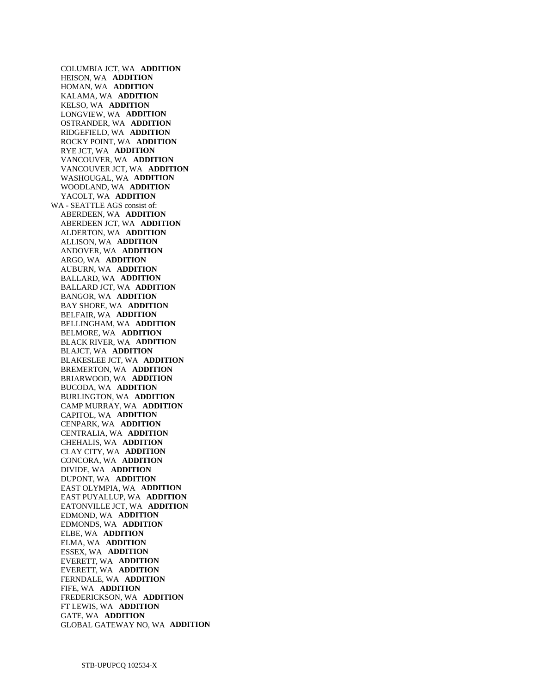COLUMBIA JCT, WA **ADDITION**  HEISON, WA **ADDITION**  HOMAN, WA **ADDITION**  KALAMA, WA **ADDITION**  KELSO, WA **ADDITION**  LONGVIEW, WA **ADDITION**  OSTRANDER, WA **ADDITION**  RIDGEFIELD, WA **ADDITION**  ROCKY POINT, WA **ADDITION**  RYE JCT, WA **ADDITION**  VANCOUVER, WA **ADDITION**  VANCOUVER JCT, WA **ADDITION**  WASHOUGAL, WA **ADDITION**  WOODLAND, WA **ADDITION**  YACOLT, WA **ADDITION**  WA - SEATTLE AGS consist of: ABERDEEN, WA **ADDITION**  ABERDEEN JCT, WA **ADDITION**  ALDERTON, WA **ADDITION**  ALLISON, WA **ADDITION**  ANDOVER, WA **ADDITION**  ARGO, WA **ADDITION**  AUBURN, WA **ADDITION**  BALLARD, WA **ADDITION**  BALLARD JCT, WA **ADDITION**  BANGOR, WA **ADDITION**  BAY SHORE, WA **ADDITION**  BELFAIR, WA **ADDITION**  BELLINGHAM, WA **ADDITION**  BELMORE, WA **ADDITION**  BLACK RIVER, WA **ADDITION**  BLAJCT, WA **ADDITION**  BLAKESLEE JCT, WA **ADDITION**  BREMERTON, WA **ADDITION**  BRIARWOOD, WA **ADDITION**  BUCODA, WA **ADDITION**  BURLINGTON, WA **ADDITION**  CAMP MURRAY, WA **ADDITION**  CAPITOL, WA **ADDITION**  CENPARK, WA **ADDITION**  CENTRALIA, WA **ADDITION**  CHEHALIS, WA **ADDITION**  CLAY CITY, WA **ADDITION**  CONCORA, WA **ADDITION**  DIVIDE, WA **ADDITION**  DUPONT, WA **ADDITION**  EAST OLYMPIA, WA **ADDITION**  EAST PUYALLUP, WA **ADDITION**  EATONVILLE JCT, WA **ADDITION**  EDMOND, WA **ADDITION**  EDMONDS, WA **ADDITION**  ELBE, WA **ADDITION**  ELMA, WA **ADDITION**  ESSEX, WA **ADDITION**  EVERETT, WA **ADDITION**  EVERETT, WA **ADDITION**  FERNDALE, WA **ADDITION**  FIFE, WA **ADDITION**  FREDERICKSON, WA **ADDITION**  FT LEWIS, WA **ADDITION**  GATE, WA **ADDITION**  GLOBAL GATEWAY NO, WA **ADDITION**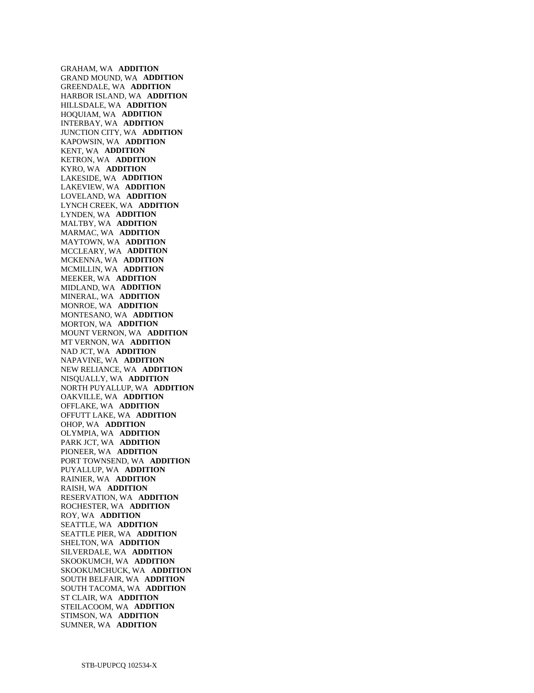GRAHAM, WA **ADDITION**  GRAND MOUND, WA **ADDITION**  GREENDALE, WA **ADDITION**  HARBOR ISLAND, WA **ADDITION**  HILLSDALE, WA **ADDITION**  HOQUIAM, WA **ADDITION**  INTERBAY, WA **ADDITION**  JUNCTION CITY, WA **ADDITION**  KAPOWSIN, WA **ADDITION**  KENT, WA **ADDITION**  KETRON, WA **ADDITION**  KYRO, WA **ADDITION**  LAKESIDE, WA **ADDITION**  LAKEVIEW, WA **ADDITION**  LOVELAND, WA **ADDITION**  LYNCH CREEK, WA **ADDITION**  LYNDEN, WA **ADDITION**  MALTBY, WA **ADDITION**  MARMAC, WA **ADDITION**  MAYTOWN, WA **ADDITION**  MCCLEARY, WA **ADDITION**  MCKENNA, WA **ADDITION**  MCMILLIN, WA **ADDITION**  MEEKER, WA **ADDITION**  MIDLAND, WA **ADDITION**  MINERAL, WA **ADDITION**  MONROE, WA **ADDITION**  MONTESANO, WA **ADDITION**  MORTON, WA **ADDITION**  MOUNT VERNON, WA **ADDITION**  MT VERNON, WA **ADDITION**  NAD JCT, WA **ADDITION**  NAPAVINE, WA **ADDITION**  NEW RELIANCE, WA **ADDITION**  NISQUALLY, WA **ADDITION**  NORTH PUYALLUP, WA **ADDITION**  OAKVILLE, WA **ADDITION**  OFFLAKE, WA **ADDITION**  OFFUTT LAKE, WA **ADDITION**  OHOP, WA **ADDITION**  OLYMPIA, WA **ADDITION**  PARK JCT, WA **ADDITION**  PIONEER, WA **ADDITION**  PORT TOWNSEND, WA **ADDITION**  PUYALLUP, WA **ADDITION**  RAINIER, WA **ADDITION**  RAISH, WA **ADDITION**  RESERVATION, WA **ADDITION**  ROCHESTER, WA **ADDITION**  ROY, WA **ADDITION**  SEATTLE, WA **ADDITION**  SEATTLE PIER, WA **ADDITION**  SHELTON, WA **ADDITION**  SILVERDALE, WA **ADDITION**  SKOOKUMCH, WA **ADDITION**  SKOOKUMCHUCK, WA **ADDITION**  SOUTH BELFAIR, WA **ADDITION**  SOUTH TACOMA, WA **ADDITION**  ST CLAIR, WA **ADDITION**  STEILACOOM, WA **ADDITION**  STIMSON, WA **ADDITION**  SUMNER, WA **ADDITION**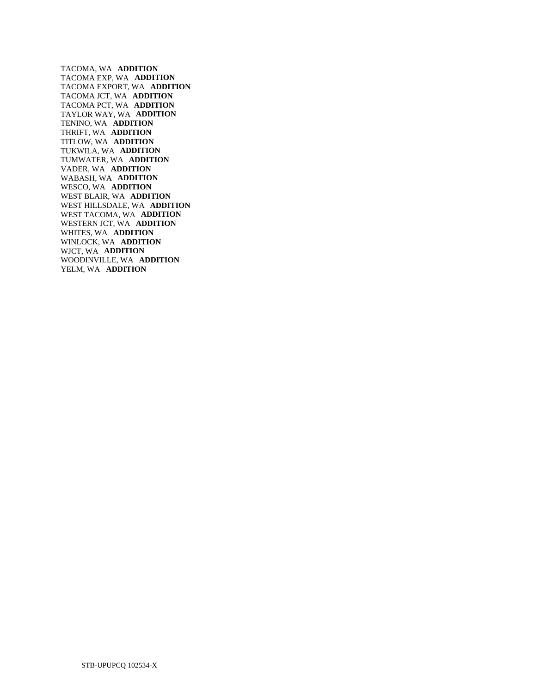TACOMA, WA **ADDITION**  TACOMA EXP, WA **ADDITION**  TACOMA EXPORT, WA **ADDITION**  TACOMA JCT, WA **ADDITION**  TACOMA PCT, WA **ADDITION**  TAYLOR WAY, WA **ADDITION**  TENINO, WA **ADDITION**  THRIFT, WA **ADDITION**  TITLOW, WA **ADDITION**  TUKWILA, WA **ADDITION**  TUMWATER, WA **ADDITION**  VADER, WA **ADDITION**  WABASH, WA **ADDITION**  WESCO, WA **ADDITION**  WEST BLAIR, WA **ADDITION**  WEST HILLSDALE, WA **ADDITION**  WEST TACOMA, WA **ADDITION**  WESTERN JCT, WA **ADDITION**  WHITES, WA **ADDITION**  WINLOCK, WA **ADDITION**  WJCT, WA **ADDITION**  WOODINVILLE, WA **ADDITION**  YELM, WA **ADDITION**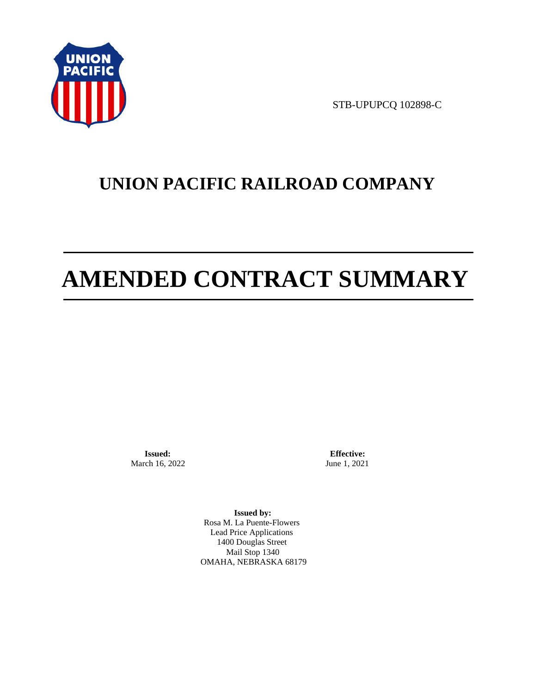

STB-UPUPCQ 102898-C

# **UNION PACIFIC RAILROAD COMPANY**

# **AMENDED CONTRACT SUMMARY**

**Issued:**  March 16, 2022

**Effective:** June 1, 2021